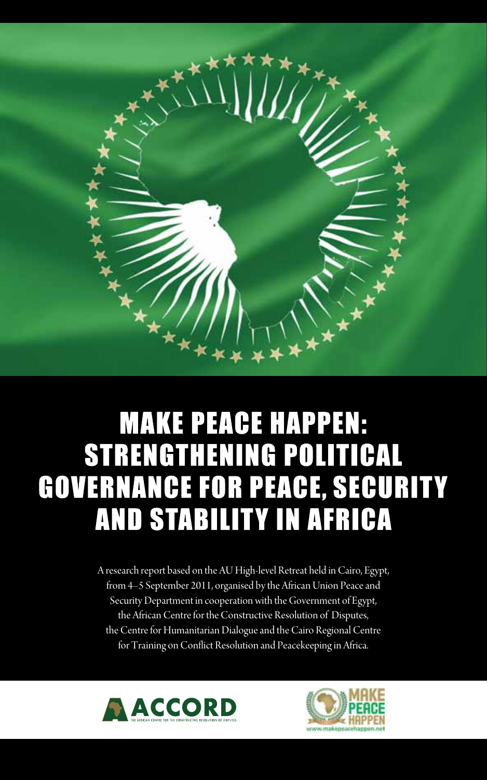

# **MAKE PEACE HAPPEN: STRENGTHENING POLITICAL GOVERNANCE FOR PEACE, SECURITY AND STABILITY IN AFRICA**

A research report based on the AU High-level Retreat held in Cairo, Egypt, from 4–5 September 2011, organised by the African Union Peace and Security Department in cooperation with the Government of Egypt, the African Centre for the Constructive Resolution of Disputes, the Centre for Humanitarian Dialogue and the Cairo Regional Centre for Training on Conflict Resolution and Peacekeeping in Africa.



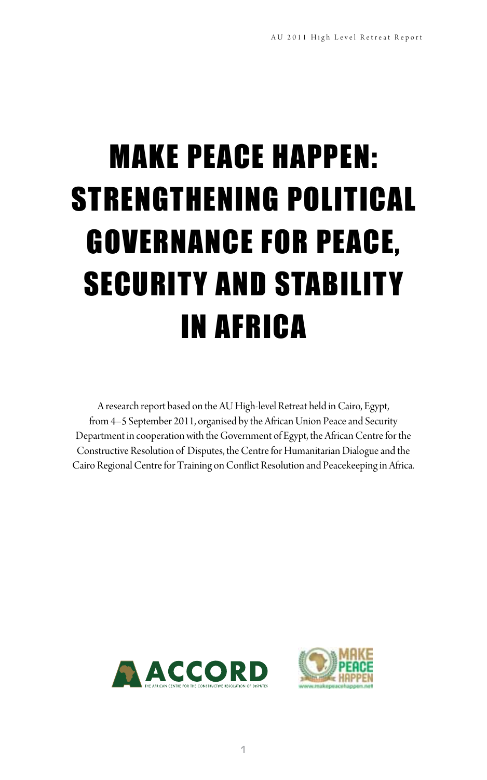# MAKE PEACE HAPPEN: STRENGTHENING POLITICAL GOVERNANCE FOR PEACE, SECURITY AND STABILITY IN AFRICA

A research report based on the AU High-level Retreat held in Cairo, Egypt, from 4–5 September 2011, organised by the African Union Peace and Security Department in cooperation with the Government of Egypt, the African Centre for the Constructive Resolution of Disputes, the Centre for Humanitarian Dialogue and the Cairo Regional Centre for Training on Conflict Resolution and Peacekeeping in Africa.



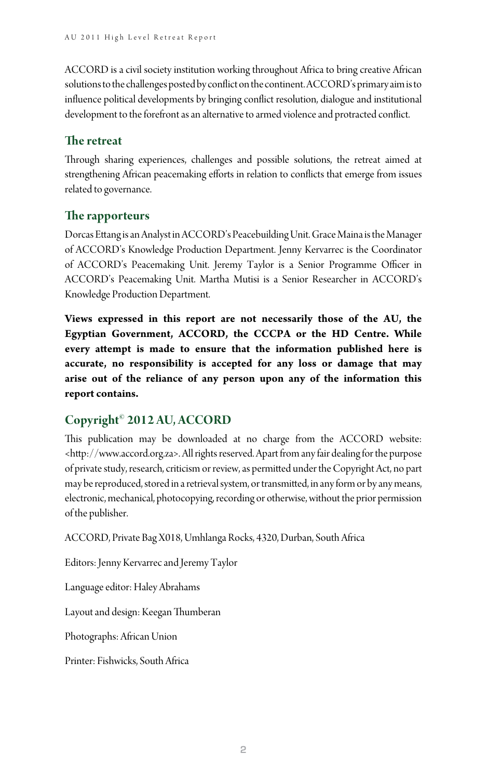ACCORD is a civil society institution working throughout Africa to bring creative African solutions to the challenges posted by conflict on the continent. ACCORD's primary aim is to influence political developments by bringing conflict resolution, dialogue and institutional development to the forefront as an alternative to armed violence and protracted conflict.

#### **The retreat**

Through sharing experiences, challenges and possible solutions, the retreat aimed at strengthening African peacemaking efforts in relation to conflicts that emerge from issues related to governance.

#### **The rapporteurs**

Dorcas Ettang is an Analyst in ACCORD's Peacebuilding Unit. Grace Maina is the Manager of ACCORD's Knowledge Production Department. Jenny Kervarrec is the Coordinator of ACCORD's Peacemaking Unit. Jeremy Taylor is a Senior Programme Officer in ACCORD's Peacemaking Unit. Martha Mutisi is a Senior Researcher in ACCORD's Knowledge Production Department.

**Views expressed in this report are not necessarily those of the AU, the Egyptian Government, ACCORD, the CCCPA or the HD Centre. While every attempt is made to ensure that the information published here is accurate, no responsibility is accepted for any loss or damage that may arise out of the reliance of any person upon any of the information this report contains.**

#### **Copyright© 2012 AU, ACCORD**

This publication may be downloaded at no charge from the ACCORD website: <http://www.accord.org.za>. All rights reserved. Apart from any fair dealing for the purpose of private study, research, criticism or review, as permitted under the Copyright Act, no part may be reproduced, stored in a retrieval system, or transmitted, in any form or by any means, electronic, mechanical, photocopying, recording or otherwise, without the prior permission of the publisher.

ACCORD, Private Bag X018, Umhlanga Rocks, 4320, Durban, South Africa

Editors: Jenny Kervarrec and Jeremy Taylor

Language editor: Haley Abrahams

Layout and design: Keegan Thumberan

Photographs: African Union

Printer: Fishwicks, South Africa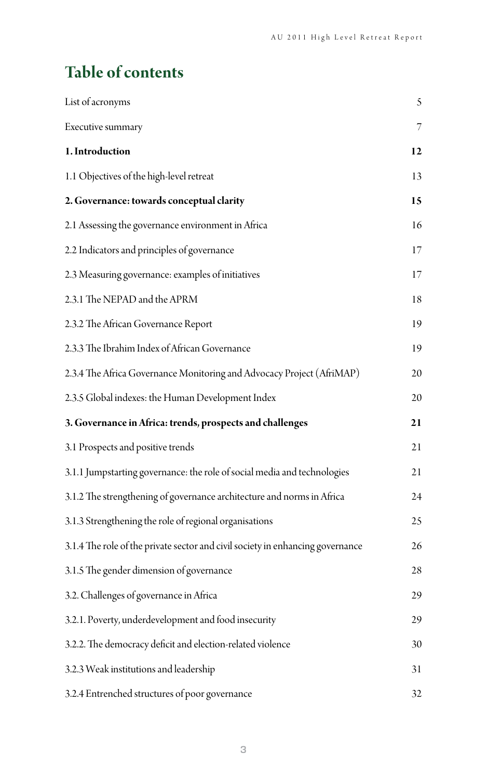# **Table of contents**

| List of acronyms                                                               | 5  |
|--------------------------------------------------------------------------------|----|
| Executive summary                                                              | 7  |
| 1. Introduction                                                                | 12 |
| 1.1 Objectives of the high-level retreat                                       | 13 |
| 2. Governance: towards conceptual clarity                                      | 15 |
| 2.1 Assessing the governance environment in Africa                             | 16 |
| 2.2 Indicators and principles of governance                                    | 17 |
| 2.3 Measuring governance: examples of initiatives                              | 17 |
| 2.3.1 The NEPAD and the APRM                                                   | 18 |
| 2.3.2 The African Governance Report                                            | 19 |
| 2.3.3 The Ibrahim Index of African Governance                                  | 19 |
| 2.3.4 The Africa Governance Monitoring and Advocacy Project (AfriMAP)          | 20 |
| 2.3.5 Global indexes: the Human Development Index                              | 20 |
| 3. Governance in Africa: trends, prospects and challenges                      | 21 |
| 3.1 Prospects and positive trends                                              | 21 |
| 3.1.1 Jumpstarting governance: the role of social media and technologies       | 21 |
| 3.1.2 The strengthening of governance architecture and norms in Africa         | 24 |
| 3.1.3 Strengthening the role of regional organisations                         | 25 |
| 3.1.4 The role of the private sector and civil society in enhancing governance | 26 |
| 3.1.5 The gender dimension of governance                                       | 28 |
| 3.2. Challenges of governance in Africa                                        | 29 |
| 3.2.1. Poverty, underdevelopment and food insecurity                           | 29 |
| 3.2.2. The democracy deficit and election-related violence                     | 30 |
| 3.2.3 Weak institutions and leadership                                         | 31 |
| 3.2.4 Entrenched structures of poor governance                                 | 32 |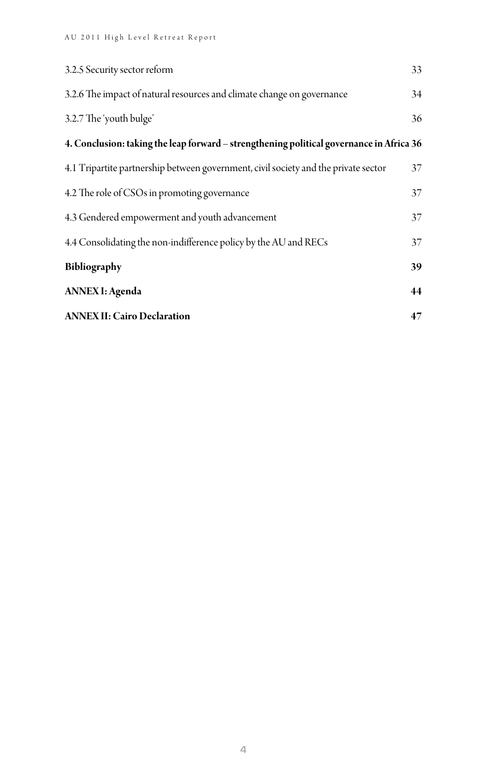| 3.2.5 Security sector reform                                                             | 33 |
|------------------------------------------------------------------------------------------|----|
| 3.2.6 The impact of natural resources and climate change on governance                   | 34 |
| 3.2.7 The 'youth bulge'                                                                  | 36 |
| 4. Conclusion: taking the leap forward - strengthening political governance in Africa 36 |    |
| 4.1 Tripartite partnership between government, civil society and the private sector      | 37 |
| 4.2 The role of CSOs in promoting governance                                             | 37 |
| 4.3 Gendered empowerment and youth advancement                                           | 37 |
| 4.4 Consolidating the non-indifference policy by the AU and RECs                         | 37 |
| Bibliography                                                                             | 39 |
| <b>ANNEX I: Agenda</b>                                                                   | 44 |
| <b>ANNEX II: Cairo Declaration</b>                                                       | 47 |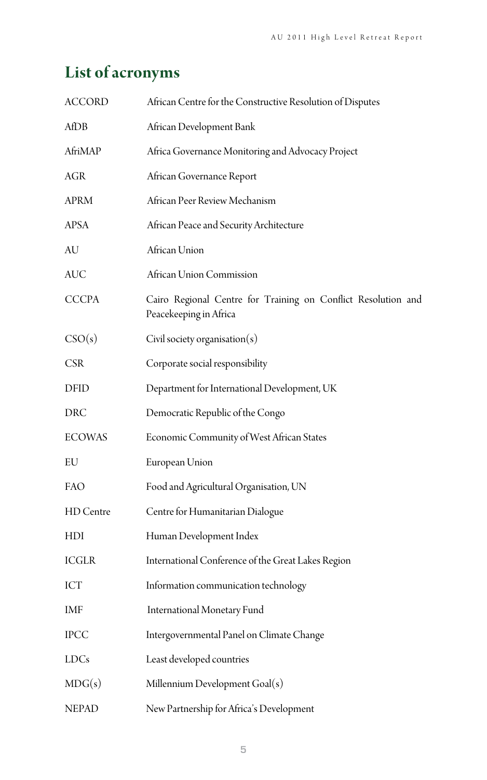# **List of acronyms**

| <b>ACCORD</b> | African Centre for the Constructive Resolution of Disputes                              |
|---------------|-----------------------------------------------------------------------------------------|
| AfDB          | African Development Bank                                                                |
| AfriMAP       | Africa Governance Monitoring and Advocacy Project                                       |
| $\rm{AGR}$    | African Governance Report                                                               |
| APRM          | African Peer Review Mechanism                                                           |
| APSA          | African Peace and Security Architecture                                                 |
| AU            | African Union                                                                           |
| AUC           | African Union Commission                                                                |
| <b>CCCPA</b>  | Cairo Regional Centre for Training on Conflict Resolution and<br>Peacekeeping in Africa |
| CSO(s)        | Civil society organisation $(s)$                                                        |
| <b>CSR</b>    | Corporate social responsibility                                                         |
| DFID          | Department for International Development, UK                                            |
| DRC           | Democratic Republic of the Congo                                                        |
| <b>ECOWAS</b> | Economic Community of West African States                                               |
| EU            | European Union                                                                          |
| FAO           | Food and Agricultural Organisation, UN                                                  |
| HD Centre     | Centre for Humanitarian Dialogue                                                        |
| HDI           | Human Development Index                                                                 |
| <b>ICGLR</b>  | International Conference of the Great Lakes Region                                      |
| ICT           | Information communication technology                                                    |
| IMF           | International Monetary Fund                                                             |
| <b>IPCC</b>   | Intergovernmental Panel on Climate Change                                               |
| LDCs          | Least developed countries                                                               |
| MDG(s)        | Millennium Development Goal(s)                                                          |
| <b>NEPAD</b>  | New Partnership for Africa's Development                                                |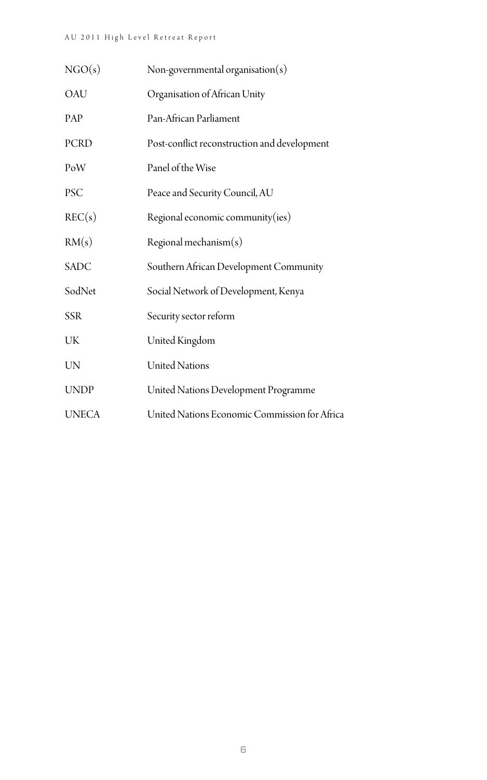| NGO(s)       | Non-governmental organisation(s)              |
|--------------|-----------------------------------------------|
| OAU          | Organisation of African Unity                 |
| <b>PAP</b>   | Pan-African Parliament                        |
| <b>PCRD</b>  | Post-conflict reconstruction and development  |
| PoW          | Panel of the Wise                             |
| <b>PSC</b>   | Peace and Security Council, AU                |
| REC(s)       | Regional economic community(ies)              |
| RM(s)        | Regional mechanism $(s)$                      |
| <b>SADC</b>  | Southern African Development Community        |
| SodNet       | Social Network of Development, Kenya          |
| <b>SSR</b>   | Security sector reform                        |
| UK           | United Kingdom                                |
| <b>UN</b>    | <b>United Nations</b>                         |
| <b>UNDP</b>  | United Nations Development Programme          |
| <b>UNECA</b> | United Nations Economic Commission for Africa |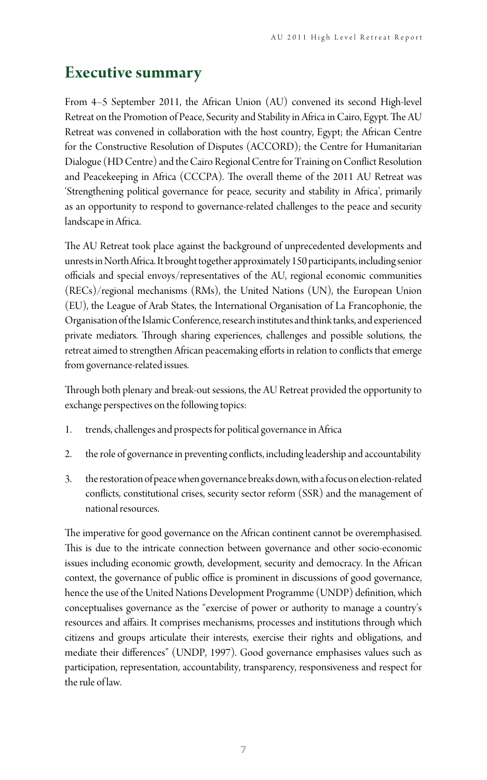### **Executive summary**

From 4–5 September 2011, the African Union (AU) convened its second High-level Retreat on the Promotion of Peace, Security and Stability in Africa in Cairo, Egypt. The AU Retreat was convened in collaboration with the host country, Egypt; the African Centre for the Constructive Resolution of Disputes (ACCORD); the Centre for Humanitarian Dialogue (HD Centre) and the Cairo Regional Centre for Training on Conflict Resolution and Peacekeeping in Africa (CCCPA). The overall theme of the 2011 AU Retreat was 'Strengthening political governance for peace, security and stability in Africa', primarily as an opportunity to respond to governance-related challenges to the peace and security landscape in Africa.

The AU Retreat took place against the background of unprecedented developments and unrests in North Africa. It brought together approximately 150 participants, including senior officials and special envoys/representatives of the AU, regional economic communities (RECs)/regional mechanisms (RMs), the United Nations (UN), the European Union (EU), the League of Arab States, the International Organisation of La Francophonie, the Organisation of the Islamic Conference, research institutes and think tanks, and experienced private mediators. Through sharing experiences, challenges and possible solutions, the retreat aimed to strengthen African peacemaking efforts in relation to conflicts that emerge from governance-related issues.

Through both plenary and break-out sessions, the AU Retreat provided the opportunity to exchange perspectives on the following topics:

- 1. trends, challenges and prospects for political governance in Africa
- 2. the role of governance in preventing conflicts, including leadership and accountability
- 3. the restoration of peace when governance breaks down, with a focus on election-related conflicts, constitutional crises, security sector reform (SSR) and the management of national resources.

The imperative for good governance on the African continent cannot be overemphasised. This is due to the intricate connection between governance and other socio-economic issues including economic growth, development, security and democracy. In the African context, the governance of public office is prominent in discussions of good governance, hence the use of the United Nations Development Programme (UNDP) definition, which conceptualises governance as the "exercise of power or authority to manage a country's resources and affairs. It comprises mechanisms, processes and institutions through which citizens and groups articulate their interests, exercise their rights and obligations, and mediate their differences" (UNDP, 1997). Good governance emphasises values such as participation, representation, accountability, transparency, responsiveness and respect for the rule of law.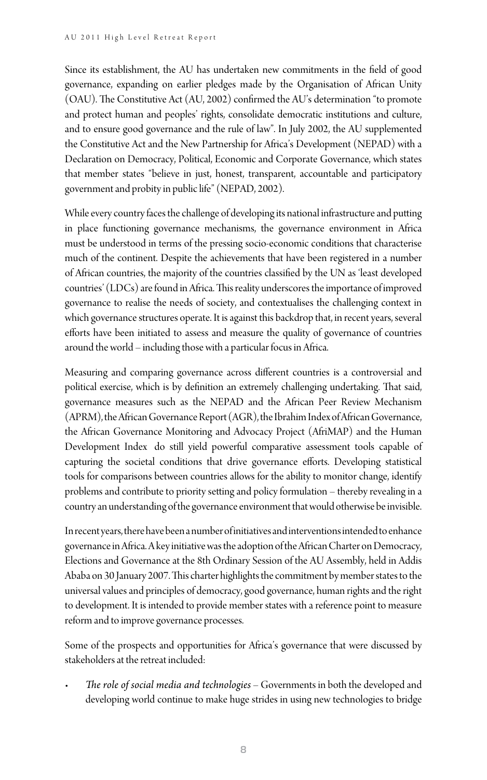Since its establishment, the AU has undertaken new commitments in the field of good governance, expanding on earlier pledges made by the Organisation of African Unity (OAU). The Constitutive Act (AU, 2002) confirmed the AU's determination "to promote and protect human and peoples' rights, consolidate democratic institutions and culture, and to ensure good governance and the rule of law". In July 2002, the AU supplemented the Constitutive Act and the New Partnership for Africa's Development (NEPAD) with a Declaration on Democracy, Political, Economic and Corporate Governance, which states that member states "believe in just, honest, transparent, accountable and participatory government and probity in public life" (NEPAD, 2002).

While every country faces the challenge of developing its national infrastructure and putting in place functioning governance mechanisms, the governance environment in Africa must be understood in terms of the pressing socio-economic conditions that characterise much of the continent. Despite the achievements that have been registered in a number of African countries, the majority of the countries classified by the UN as 'least developed countries' (LDCs) are found in Africa. This reality underscores the importance of improved governance to realise the needs of society, and contextualises the challenging context in which governance structures operate. It is against this backdrop that, in recent years, several efforts have been initiated to assess and measure the quality of governance of countries around the world – including those with a particular focus in Africa.

Measuring and comparing governance across different countries is a controversial and political exercise, which is by definition an extremely challenging undertaking. That said, governance measures such as the NEPAD and the African Peer Review Mechanism (APRM), the African Governance Report (AGR), the Ibrahim Index of African Governance, the African Governance Monitoring and Advocacy Project (AfriMAP) and the Human Development Index do still yield powerful comparative assessment tools capable of capturing the societal conditions that drive governance efforts. Developing statistical tools for comparisons between countries allows for the ability to monitor change, identify problems and contribute to priority setting and policy formulation – thereby revealing in a country an understanding of the governance environment that would otherwise be invisible.

In recent years, there have been a number of initiatives and interventions intended to enhance governance in Africa. A key initiative was the adoption of the African Charter on Democracy, Elections and Governance at the 8th Ordinary Session of the AU Assembly, held in Addis Ababa on 30 January 2007. This charter highlights the commitment by member states to the universal values and principles of democracy, good governance, human rights and the right to development. It is intended to provide member states with a reference point to measure reform and to improve governance processes.

Some of the prospects and opportunities for Africa's governance that were discussed by stakeholders at the retreat included:

• *The role of social media and technologies* – Governments in both the developed and developing world continue to make huge strides in using new technologies to bridge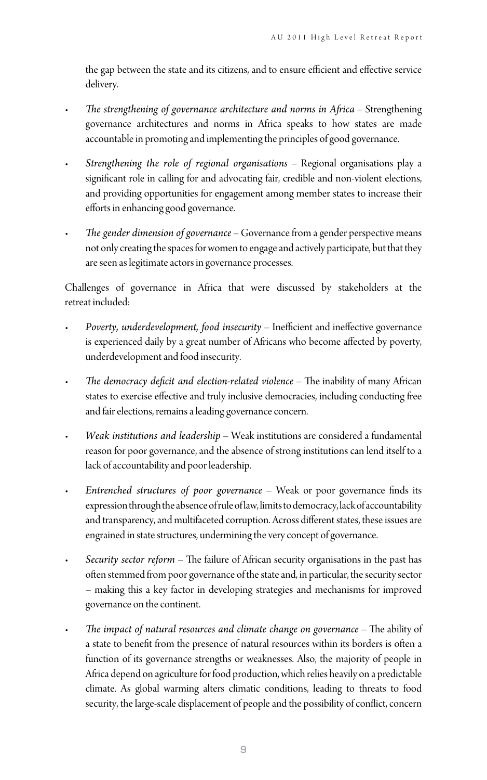the gap between the state and its citizens, and to ensure efficient and effective service delivery.

- *The strengthening of governance architecture and norms in Africa* Strengthening governance architectures and norms in Africa speaks to how states are made accountable in promoting and implementing the principles of good governance.
- *Strengthening the role of regional organisations* Regional organisations play a significant role in calling for and advocating fair, credible and non-violent elections, and providing opportunities for engagement among member states to increase their efforts in enhancing good governance.
- *The gender dimension of governance* Governance from a gender perspective means not only creating the spaces for women to engage and actively participate, but that they are seen as legitimate actors in governance processes.

Challenges of governance in Africa that were discussed by stakeholders at the retreat included:

- *Poverty, underdevelopment, food insecurity* Inefficient and ineffective governance is experienced daily by a great number of Africans who become affected by poverty, underdevelopment and food insecurity.
- *The democracy deficit and election-related violence* The inability of many African states to exercise effective and truly inclusive democracies, including conducting free and fair elections, remains a leading governance concern.
- *Weak institutions and leadership* Weak institutions are considered a fundamental reason for poor governance, and the absence of strong institutions can lend itself to a lack of accountability and poor leadership.
- *Entrenched structures of poor governance* Weak or poor governance finds its expression through the absence of rule of law, limits to democracy, lack of accountability and transparency, and multifaceted corruption. Across different states, these issues are engrained in state structures, undermining the very concept of governance.
- *Security sector reform* The failure of African security organisations in the past has often stemmed from poor governance of the state and, in particular, the security sector – making this a key factor in developing strategies and mechanisms for improved governance on the continent.
- *The impact of natural resources and climate change on governance* The ability of a state to benefit from the presence of natural resources within its borders is often a function of its governance strengths or weaknesses. Also, the majority of people in Africa depend on agriculture for food production, which relies heavily on a predictable climate. As global warming alters climatic conditions, leading to threats to food security, the large-scale displacement of people and the possibility of conflict, concern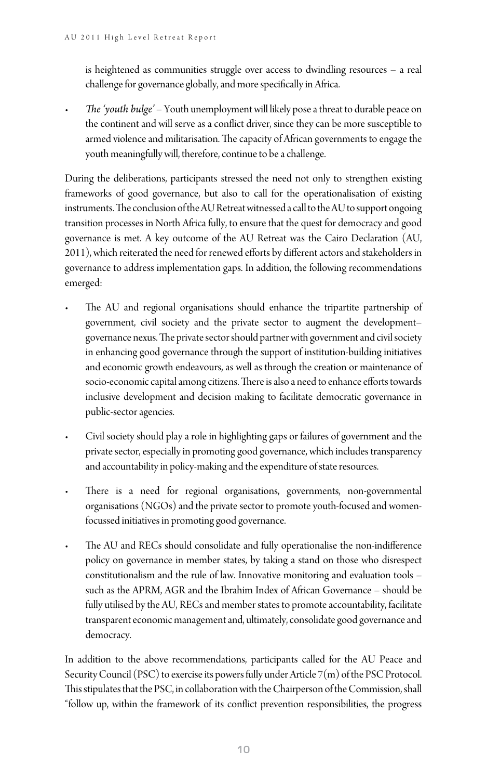is heightened as communities struggle over access to dwindling resources – a real challenge for governance globally, and more specifically in Africa.

• *The 'youth bulge'* – Youth unemployment will likely pose a threat to durable peace on the continent and will serve as a conflict driver, since they can be more susceptible to armed violence and militarisation. The capacity of African governments to engage the youth meaningfully will, therefore, continue to be a challenge.

During the deliberations, participants stressed the need not only to strengthen existing frameworks of good governance, but also to call for the operationalisation of existing instruments. The conclusion of the AU Retreat witnessed a call to the AU to support ongoing transition processes in North Africa fully, to ensure that the quest for democracy and good governance is met. A key outcome of the AU Retreat was the Cairo Declaration (AU, 2011), which reiterated the need for renewed efforts by different actors and stakeholders in governance to address implementation gaps. In addition, the following recommendations emerged:

- The AU and regional organisations should enhance the tripartite partnership of government, civil society and the private sector to augment the development– governance nexus. The private sector should partner with government and civil society in enhancing good governance through the support of institution-building initiatives and economic growth endeavours, as well as through the creation or maintenance of socio-economic capital among citizens. There is also a need to enhance efforts towards inclusive development and decision making to facilitate democratic governance in public-sector agencies.
- Civil society should play a role in highlighting gaps or failures of government and the private sector, especially in promoting good governance, which includes transparency and accountability in policy-making and the expenditure of state resources.
- There is a need for regional organisations, governments, non-governmental organisations (NGOs) and the private sector to promote youth-focused and womenfocussed initiatives in promoting good governance.
- The AU and RECs should consolidate and fully operationalise the non-indifference policy on governance in member states, by taking a stand on those who disrespect constitutionalism and the rule of law. Innovative monitoring and evaluation tools – such as the APRM, AGR and the Ibrahim Index of African Governance – should be fully utilised by the AU, RECs and member states to promote accountability, facilitate transparent economic management and, ultimately, consolidate good governance and democracy.

In addition to the above recommendations, participants called for the AU Peace and Security Council (PSC) to exercise its powers fully under Article 7(m) of the PSC Protocol. This stipulates that the PSC, in collaboration with the Chairperson of the Commission, shall "follow up, within the framework of its conflict prevention responsibilities, the progress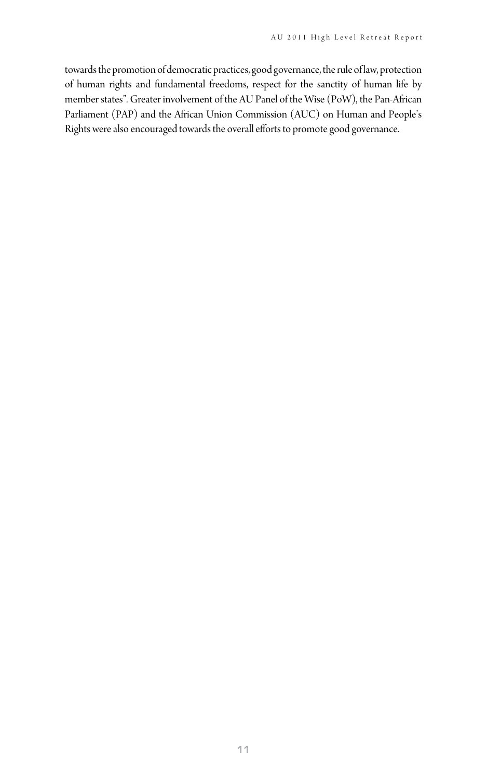towards the promotion of democratic practices, good governance, the rule of law, protection of human rights and fundamental freedoms, respect for the sanctity of human life by member states". Greater involvement of the AU Panel of the Wise (PoW), the Pan-African Parliament (PAP) and the African Union Commission (AUC) on Human and People's Rights were also encouraged towards the overall efforts to promote good governance.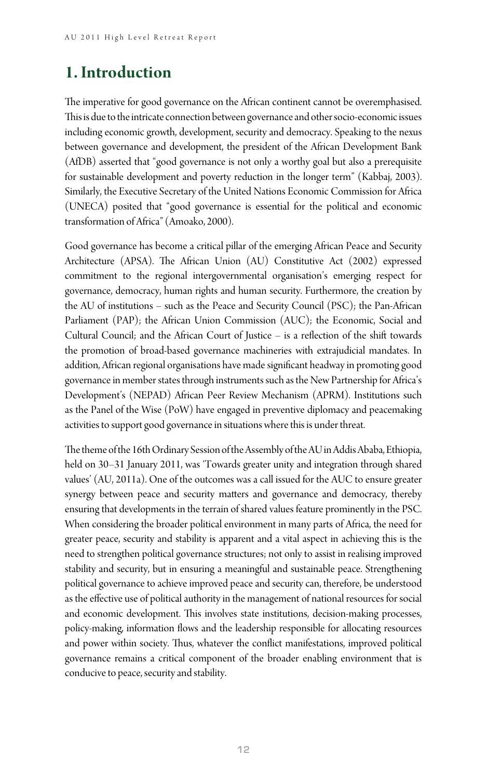# **1. Introduction**

The imperative for good governance on the African continent cannot be overemphasised. This is due to the intricate connection between governance and other socio-economic issues including economic growth, development, security and democracy. Speaking to the nexus between governance and development, the president of the African Development Bank (AfDB) asserted that "good governance is not only a worthy goal but also a prerequisite for sustainable development and poverty reduction in the longer term" (Kabbaj, 2003). Similarly, the Executive Secretary of the United Nations Economic Commission for Africa (UNECA) posited that "good governance is essential for the political and economic transformation of Africa" (Amoako, 2000).

Good governance has become a critical pillar of the emerging African Peace and Security Architecture (APSA). The African Union (AU) Constitutive Act (2002) expressed commitment to the regional intergovernmental organisation's emerging respect for governance, democracy, human rights and human security. Furthermore, the creation by the AU of institutions – such as the Peace and Security Council (PSC); the Pan-African Parliament (PAP); the African Union Commission (AUC); the Economic, Social and Cultural Council; and the African Court of Justice – is a reflection of the shift towards the promotion of broad-based governance machineries with extrajudicial mandates. In addition, African regional organisations have made significant headway in promoting good governance in member states through instruments such as the New Partnership for Africa's Development's (NEPAD) African Peer Review Mechanism (APRM). Institutions such as the Panel of the Wise (PoW) have engaged in preventive diplomacy and peacemaking activities to support good governance in situations where this is under threat.

The theme of the 16th Ordinary Session of the Assembly of the AU in Addis Ababa, Ethiopia, held on 30–31 January 2011, was 'Towards greater unity and integration through shared values' (AU, 2011a). One of the outcomes was a call issued for the AUC to ensure greater synergy between peace and security matters and governance and democracy, thereby ensuring that developments in the terrain of shared values feature prominently in the PSC. When considering the broader political environment in many parts of Africa, the need for greater peace, security and stability is apparent and a vital aspect in achieving this is the need to strengthen political governance structures; not only to assist in realising improved stability and security, but in ensuring a meaningful and sustainable peace. Strengthening political governance to achieve improved peace and security can, therefore, be understood as the effective use of political authority in the management of national resources for social and economic development. This involves state institutions, decision-making processes, policy-making, information flows and the leadership responsible for allocating resources and power within society. Thus, whatever the conflict manifestations, improved political governance remains a critical component of the broader enabling environment that is conducive to peace, security and stability.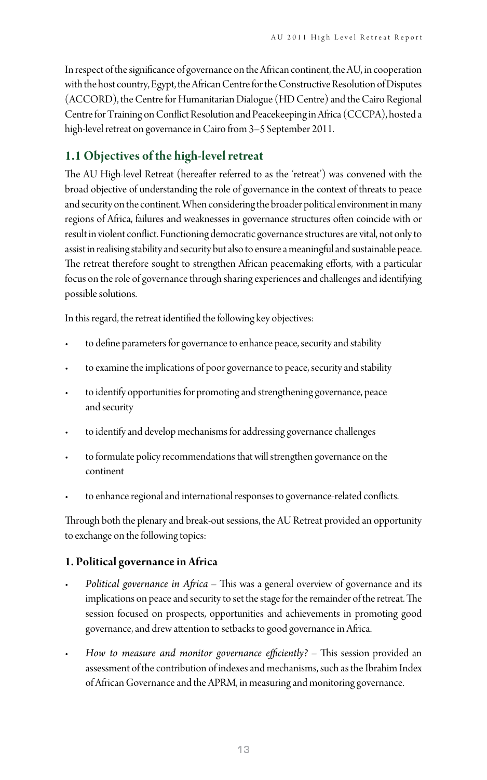In respect of the significance of governance on the African continent, the AU, in cooperation with the host country, Egypt, the African Centre for the Constructive Resolution of Disputes (ACCORD), the Centre for Humanitarian Dialogue (HD Centre) and the Cairo Regional Centre for Training on Conflict Resolution and Peacekeeping in Africa (CCCPA), hosted a high-level retreat on governance in Cairo from 3–5 September 2011.

#### **1.1 Objectives of the high-level retreat**

The AU High-level Retreat (hereafter referred to as the 'retreat') was convened with the broad objective of understanding the role of governance in the context of threats to peace and security on the continent. When considering the broader political environment in many regions of Africa, failures and weaknesses in governance structures often coincide with or result in violent conflict. Functioning democratic governance structures are vital, not only to assist in realising stability and security but also to ensure a meaningful and sustainable peace. The retreat therefore sought to strengthen African peacemaking efforts, with a particular focus on the role of governance through sharing experiences and challenges and identifying possible solutions.

In this regard, the retreat identified the following key objectives:

- to define parameters for governance to enhance peace, security and stability
- to examine the implications of poor governance to peace, security and stability
- to identify opportunities for promoting and strengthening governance, peace and security
- to identify and develop mechanisms for addressing governance challenges
- to formulate policy recommendations that will strengthen governance on the continent
- to enhance regional and international responses to governance-related conflicts.

Through both the plenary and break-out sessions, the AU Retreat provided an opportunity to exchange on the following topics:

#### **1. Political governance in Africa**

- *Political governance in Africa* This was a general overview of governance and its implications on peace and security to set the stage for the remainder of the retreat. The session focused on prospects, opportunities and achievements in promoting good governance, and drew attention to setbacks to good governance in Africa.
- *How to measure and monitor governance efficiently?* This session provided an assessment of the contribution of indexes and mechanisms, such as the Ibrahim Index of African Governance and the APRM, in measuring and monitoring governance.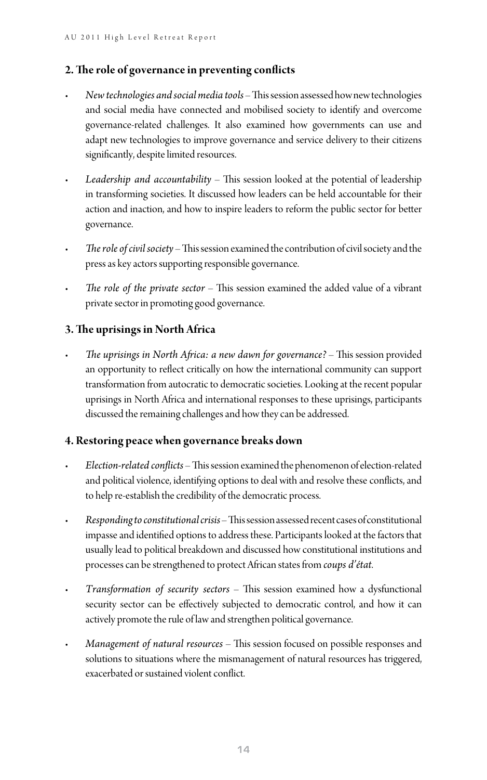#### **2. The role of governance in preventing conflicts**

- *New technologies and social media tools* This session assessed how new technologies and social media have connected and mobilised society to identify and overcome governance-related challenges. It also examined how governments can use and adapt new technologies to improve governance and service delivery to their citizens significantly, despite limited resources.
- *Leadership and accountability* This session looked at the potential of leadership in transforming societies. It discussed how leaders can be held accountable for their action and inaction, and how to inspire leaders to reform the public sector for better governance.
- *The role of civil society* This session examined the contribution of civil society and the press as key actors supporting responsible governance.
- *The role of the private sector* This session examined the added value of a vibrant private sector in promoting good governance.

#### **3. The uprisings in North Africa**

• *The uprisings in North Africa: a new dawn for governance?* – This session provided an opportunity to reflect critically on how the international community can support transformation from autocratic to democratic societies. Looking at the recent popular uprisings in North Africa and international responses to these uprisings, participants discussed the remaining challenges and how they can be addressed.

#### **4. Restoring peace when governance breaks down**

- *Election-related conflicts* This session examined the phenomenon of election-related and political violence, identifying options to deal with and resolve these conflicts, and to help re-establish the credibility of the democratic process.
- *Responding to constitutional crisis* This session assessed recent cases of constitutional impasse and identified options to address these. Participants looked at the factors that usually lead to political breakdown and discussed how constitutional institutions and processes can be strengthened to protect African states from *coups d'état*.
- *Transformation of security sectors* This session examined how a dysfunctional security sector can be effectively subjected to democratic control, and how it can actively promote the rule of law and strengthen political governance.
- *Management of natural resources* This session focused on possible responses and solutions to situations where the mismanagement of natural resources has triggered, exacerbated or sustained violent conflict.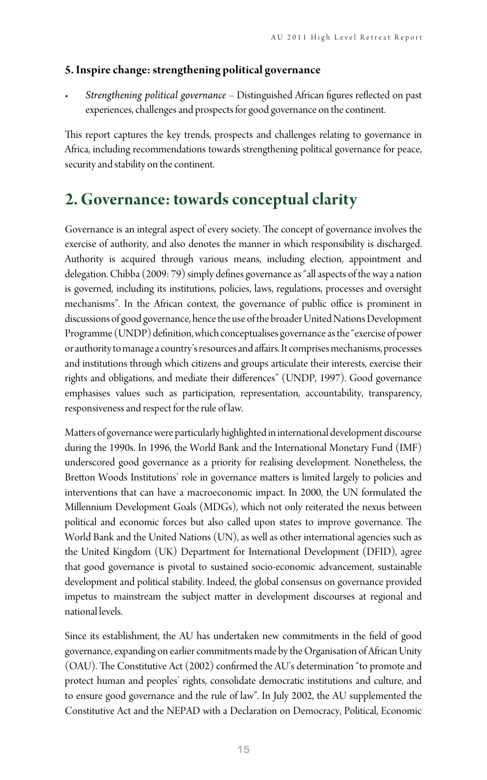#### **5. Inspire change: strengthening political governance**

• *Strengthening political governance* – Distinguished African figures reflected on past experiences, challenges and prospects for good governance on the continent.

This report captures the key trends, prospects and challenges relating to governance in Africa, including recommendations towards strengthening political governance for peace, security and stability on the continent.

## **2. Governance: towards conceptual clarity**

Governance is an integral aspect of every society. The concept of governance involves the exercise of authority, and also denotes the manner in which responsibility is discharged. Authority is acquired through various means, including election, appointment and delegation. Chibba (2009: 79) simply defines governance as "all aspects of the way a nation is governed, including its institutions, policies, laws, regulations, processes and oversight mechanisms". In the African context, the governance of public office is prominent in discussions of good governance, hence the use of the broader United Nations Development Programme (UNDP) definition, which conceptualises governance as the "exercise of power or authority to manage a country's resources and affairs. It comprises mechanisms, processes and institutions through which citizens and groups articulate their interests, exercise their rights and obligations, and mediate their differences" (UNDP, 1997). Good governance emphasises values such as participation, representation, accountability, transparency, responsiveness and respect for the rule of law.

Matters of governance were particularly highlighted in international development discourse during the 1990s. In 1996, the World Bank and the International Monetary Fund (IMF) underscored good governance as a priority for realising development. Nonetheless, the Bretton Woods Institutions' role in governance matters is limited largely to policies and interventions that can have a macroeconomic impact. In 2000, the UN formulated the Millennium Development Goals (MDGs), which not only reiterated the nexus between political and economic forces but also called upon states to improve governance. The World Bank and the United Nations (UN), as well as other international agencies such as the United Kingdom (UK) Department for International Development (DFID), agree that good governance is pivotal to sustained socio-economic advancement, sustainable development and political stability. Indeed, the global consensus on governance provided impetus to mainstream the subject matter in development discourses at regional and national levels.

Since its establishment, the AU has undertaken new commitments in the field of good governance, expanding on earlier commitments made by the Organisation of African Unity (OAU). The Constitutive Act (2002) confirmed the AU's determination "to promote and protect human and peoples' rights, consolidate democratic institutions and culture, and to ensure good governance and the rule of law". In July 2002, the AU supplemented the Constitutive Act and the NEPAD with a Declaration on Democracy, Political, Economic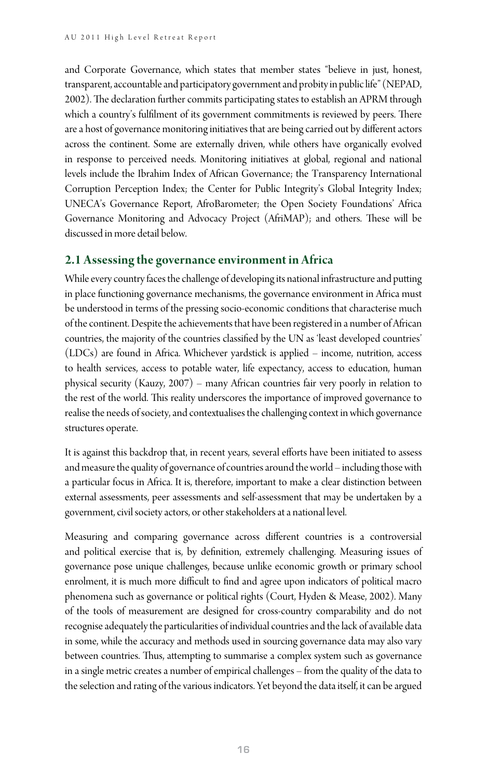and Corporate Governance, which states that member states "believe in just, honest, transparent, accountable and participatory government and probity in public life" (NEPAD, 2002). The declaration further commits participating states to establish an APRM through which a country's fulfilment of its government commitments is reviewed by peers. There are a host of governance monitoring initiatives that are being carried out by different actors across the continent. Some are externally driven, while others have organically evolved in response to perceived needs. Monitoring initiatives at global, regional and national levels include the Ibrahim Index of African Governance; the Transparency International Corruption Perception Index; the Center for Public Integrity's Global Integrity Index; UNECA's Governance Report, AfroBarometer; the Open Society Foundations' Africa Governance Monitoring and Advocacy Project (AfriMAP); and others. These will be discussed in more detail below.

#### **2.1 Assessing the governance environment in Africa**

While every country faces the challenge of developing its national infrastructure and putting in place functioning governance mechanisms, the governance environment in Africa must be understood in terms of the pressing socio-economic conditions that characterise much of the continent. Despite the achievements that have been registered in a number of African countries, the majority of the countries classified by the UN as 'least developed countries' (LDCs) are found in Africa. Whichever yardstick is applied – income, nutrition, access to health services, access to potable water, life expectancy, access to education, human physical security (Kauzy, 2007) – many African countries fair very poorly in relation to the rest of the world. This reality underscores the importance of improved governance to realise the needs of society, and contextualises the challenging context in which governance structures operate.

It is against this backdrop that, in recent years, several efforts have been initiated to assess and measure the quality of governance of countries around the world – including those with a particular focus in Africa. It is, therefore, important to make a clear distinction between external assessments, peer assessments and self-assessment that may be undertaken by a government, civil society actors, or other stakeholders at a national level.

Measuring and comparing governance across different countries is a controversial and political exercise that is, by definition, extremely challenging. Measuring issues of governance pose unique challenges, because unlike economic growth or primary school enrolment, it is much more difficult to find and agree upon indicators of political macro phenomena such as governance or political rights (Court, Hyden & Mease, 2002). Many of the tools of measurement are designed for cross-country comparability and do not recognise adequately the particularities of individual countries and the lack of available data in some, while the accuracy and methods used in sourcing governance data may also vary between countries. Thus, attempting to summarise a complex system such as governance in a single metric creates a number of empirical challenges – from the quality of the data to the selection and rating of the various indicators. Yet beyond the data itself, it can be argued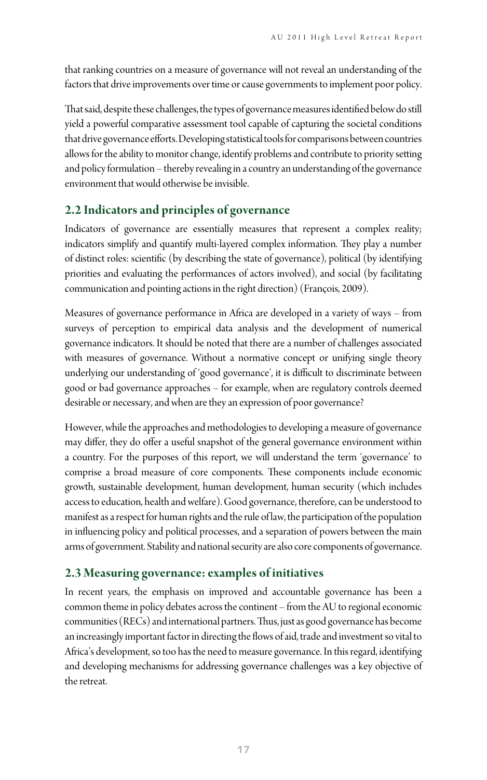that ranking countries on a measure of governance will not reveal an understanding of the factors that drive improvements over time or cause governments to implement poor policy.

That said, despite these challenges, the types of governance measures identified below do still yield a powerful comparative assessment tool capable of capturing the societal conditions that drive governance efforts. Developing statistical tools for comparisons between countries allows for the ability to monitor change, identify problems and contribute to priority setting and policy formulation – thereby revealing in a country an understanding of the governance environment that would otherwise be invisible.

#### **2.2 Indicators and principles of governance**

Indicators of governance are essentially measures that represent a complex reality; indicators simplify and quantify multi-layered complex information. They play a number of distinct roles: scientific (by describing the state of governance), political (by identifying priorities and evaluating the performances of actors involved), and social (by facilitating communication and pointing actions in the right direction) (François, 2009).

Measures of governance performance in Africa are developed in a variety of ways – from surveys of perception to empirical data analysis and the development of numerical governance indicators. It should be noted that there are a number of challenges associated with measures of governance. Without a normative concept or unifying single theory underlying our understanding of 'good governance', it is difficult to discriminate between good or bad governance approaches – for example, when are regulatory controls deemed desirable or necessary, and when are they an expression of poor governance?

However, while the approaches and methodologies to developing a measure of governance may differ, they do offer a useful snapshot of the general governance environment within a country. For the purposes of this report, we will understand the term 'governance' to comprise a broad measure of core components. These components include economic growth, sustainable development, human development, human security (which includes access to education, health and welfare). Good governance, therefore, can be understood to manifest as a respect for human rights and the rule of law, the participation of the population in influencing policy and political processes, and a separation of powers between the main arms of government. Stability and national security are also core components of governance.

#### **2.3 Measuring governance: examples of initiatives**

In recent years, the emphasis on improved and accountable governance has been a common theme in policy debates across the continent – from the AU to regional economic communities (RECs) and international partners. Thus, just as good governance has become an increasingly important factor in directing the flows of aid, trade and investment so vital to Africa's development, so too has the need to measure governance. In this regard, identifying and developing mechanisms for addressing governance challenges was a key objective of the retreat.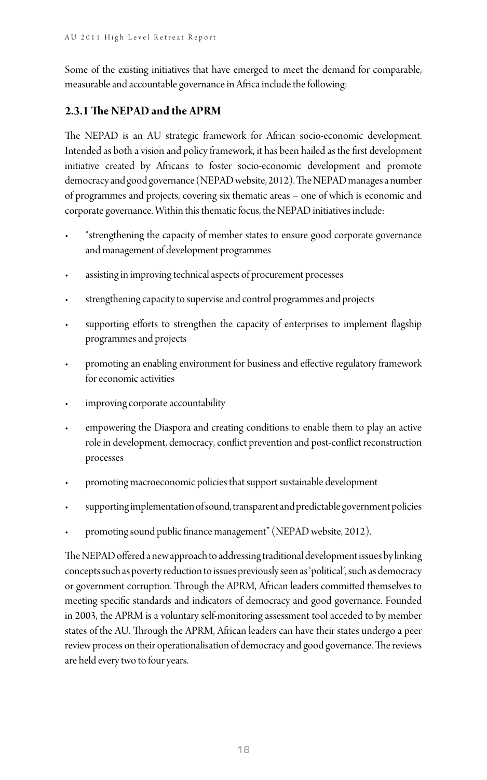Some of the existing initiatives that have emerged to meet the demand for comparable, measurable and accountable governance in Africa include the following:

#### **2.3.1 The NEPAD and the APRM**

The NEPAD is an AU strategic framework for African socio-economic development. Intended as both a vision and policy framework, it has been hailed as the first development initiative created by Africans to foster socio-economic development and promote democracy and good governance (NEPAD website, 2012). The NEPAD manages a number of programmes and projects, covering six thematic areas – one of which is economic and corporate governance. Within this thematic focus, the NEPAD initiatives include:

- "strengthening the capacity of member states to ensure good corporate governance and management of development programmes
- assisting in improving technical aspects of procurement processes
- strengthening capacity to supervise and control programmes and projects
- supporting efforts to strengthen the capacity of enterprises to implement flagship programmes and projects
- promoting an enabling environment for business and effective regulatory framework for economic activities
- improving corporate accountability
- empowering the Diaspora and creating conditions to enable them to play an active role in development, democracy, conflict prevention and post-conflict reconstruction processes
- promoting macroeconomic policies that support sustainable development
- supporting implementation of sound, transparent and predictable government policies
- promoting sound public finance management" (NEPAD website, 2012).

The NEPAD offered a new approach to addressing traditional development issues by linking concepts such as poverty reduction to issues previously seen as 'political', such as democracy or government corruption. Through the APRM, African leaders committed themselves to meeting specific standards and indicators of democracy and good governance. Founded in 2003, the APRM is a voluntary self-monitoring assessment tool acceded to by member states of the AU. Through the APRM, African leaders can have their states undergo a peer review process on their operationalisation of democracy and good governance. The reviews are held every two to four years.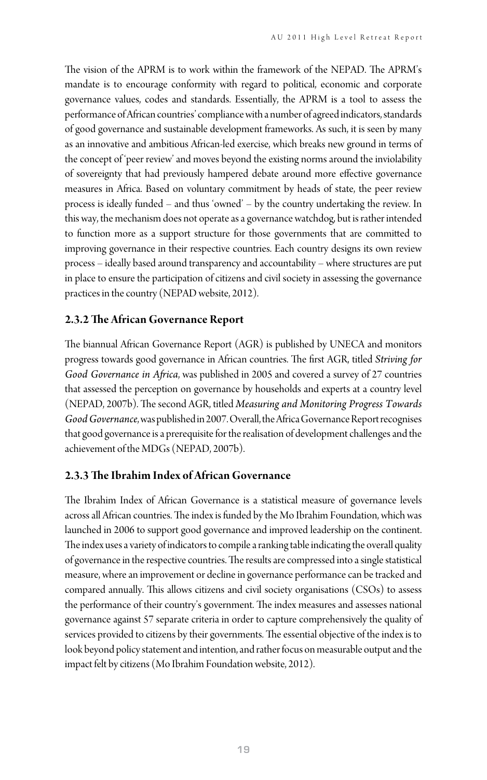The vision of the APRM is to work within the framework of the NEPAD. The APRM's mandate is to encourage conformity with regard to political, economic and corporate governance values, codes and standards. Essentially, the APRM is a tool to assess the performance of African countries' compliance with a number of agreed indicators, standards of good governance and sustainable development frameworks. As such, it is seen by many as an innovative and ambitious African-led exercise, which breaks new ground in terms of the concept of 'peer review' and moves beyond the existing norms around the inviolability of sovereignty that had previously hampered debate around more effective governance measures in Africa. Based on voluntary commitment by heads of state, the peer review process is ideally funded – and thus 'owned' – by the country undertaking the review. In this way, the mechanism does not operate as a governance watchdog, but is rather intended to function more as a support structure for those governments that are committed to improving governance in their respective countries. Each country designs its own review process – ideally based around transparency and accountability – where structures are put in place to ensure the participation of citizens and civil society in assessing the governance practices in the country (NEPAD website, 2012).

#### **2.3.2 The African Governance Report**

The biannual African Governance Report (AGR) is published by UNECA and monitors progress towards good governance in African countries. The first AGR, titled *Striving for Good Governance in Africa*, was published in 2005 and covered a survey of 27 countries that assessed the perception on governance by households and experts at a country level (NEPAD, 2007b). The second AGR, titled *Measuring and Monitoring Progress Towards Good Governance*, was published in 2007. Overall, the Africa Governance Report recognises that good governance is a prerequisite for the realisation of development challenges and the achievement of the MDGs (NEPAD, 2007b).

#### **2.3.3 The Ibrahim Index of African Governance**

The Ibrahim Index of African Governance is a statistical measure of governance levels across all African countries. The index is funded by the Mo Ibrahim Foundation, which was launched in 2006 to support good governance and improved leadership on the continent. The index uses a variety of indicators to compile a ranking table indicating the overall quality of governance in the respective countries. The results are compressed into a single statistical measure, where an improvement or decline in governance performance can be tracked and compared annually. This allows citizens and civil society organisations (CSOs) to assess the performance of their country's government. The index measures and assesses national governance against 57 separate criteria in order to capture comprehensively the quality of services provided to citizens by their governments. The essential objective of the index is to look beyond policy statement and intention, and rather focus on measurable output and the impact felt by citizens (Mo Ibrahim Foundation website, 2012).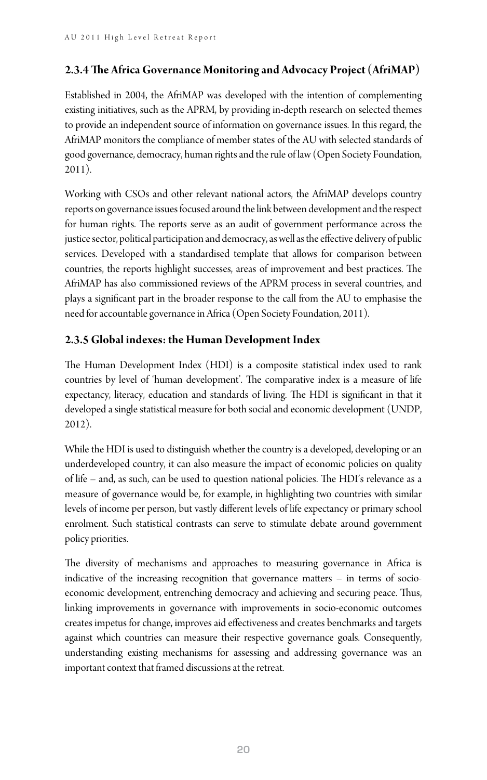#### **2.3.4 The Africa Governance Monitoring and Advocacy Project (AfriMAP)**

Established in 2004, the AfriMAP was developed with the intention of complementing existing initiatives, such as the APRM, by providing in-depth research on selected themes to provide an independent source of information on governance issues. In this regard, the AfriMAP monitors the compliance of member states of the AU with selected standards of good governance, democracy, human rights and the rule of law (Open Society Foundation, 2011).

Working with CSOs and other relevant national actors, the AfriMAP develops country reports on governance issues focused around the link between development and the respect for human rights. The reports serve as an audit of government performance across the justice sector, political participation and democracy, as well as the effective delivery of public services. Developed with a standardised template that allows for comparison between countries, the reports highlight successes, areas of improvement and best practices. The AfriMAP has also commissioned reviews of the APRM process in several countries, and plays a significant part in the broader response to the call from the AU to emphasise the need for accountable governance in Africa (Open Society Foundation, 2011).

#### **2.3.5 Global indexes: the Human Development Index**

The Human Development Index (HDI) is a composite statistical index used to rank countries by level of 'human development'. The comparative index is a measure of life expectancy, literacy, education and standards of living. The HDI is significant in that it developed a single statistical measure for both social and economic development (UNDP, 2012).

While the HDI is used to distinguish whether the country is a developed, developing or an underdeveloped country, it can also measure the impact of economic policies on quality of life – and, as such, can be used to question national policies. The HDI's relevance as a measure of governance would be, for example, in highlighting two countries with similar levels of income per person, but vastly different levels of life expectancy or primary school enrolment. Such statistical contrasts can serve to stimulate debate around government policy priorities.

The diversity of mechanisms and approaches to measuring governance in Africa is indicative of the increasing recognition that governance matters – in terms of socioeconomic development, entrenching democracy and achieving and securing peace. Thus, linking improvements in governance with improvements in socio-economic outcomes creates impetus for change, improves aid effectiveness and creates benchmarks and targets against which countries can measure their respective governance goals. Consequently, understanding existing mechanisms for assessing and addressing governance was an important context that framed discussions at the retreat.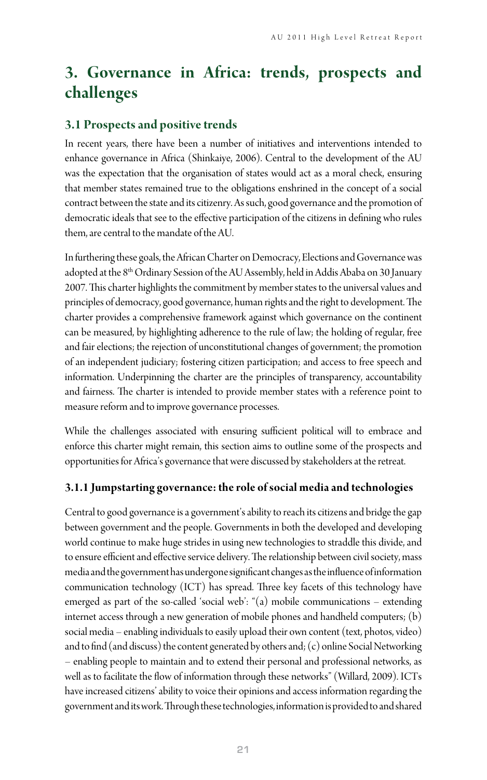# **3. Governance in Africa: trends, prospects and challenges**

#### **3.1 Prospects and positive trends**

In recent years, there have been a number of initiatives and interventions intended to enhance governance in Africa (Shinkaiye, 2006). Central to the development of the AU was the expectation that the organisation of states would act as a moral check, ensuring that member states remained true to the obligations enshrined in the concept of a social contract between the state and its citizenry. As such, good governance and the promotion of democratic ideals that see to the effective participation of the citizens in defining who rules them, are central to the mandate of the AU.

In furthering these goals, the African Charter on Democracy, Elections and Governance was adopted at the 8<sup>th</sup> Ordinary Session of the AU Assembly, held in Addis Ababa on 30 January 2007. This charter highlights the commitment by member states to the universal values and principles of democracy, good governance, human rights and the right to development. The charter provides a comprehensive framework against which governance on the continent can be measured, by highlighting adherence to the rule of law; the holding of regular, free and fair elections; the rejection of unconstitutional changes of government; the promotion of an independent judiciary; fostering citizen participation; and access to free speech and information. Underpinning the charter are the principles of transparency, accountability and fairness. The charter is intended to provide member states with a reference point to measure reform and to improve governance processes.

While the challenges associated with ensuring sufficient political will to embrace and enforce this charter might remain, this section aims to outline some of the prospects and opportunities for Africa's governance that were discussed by stakeholders at the retreat.

#### **3.1.1 Jumpstarting governance: the role of social media and technologies**

Central to good governance is a government's ability to reach its citizens and bridge the gap between government and the people. Governments in both the developed and developing world continue to make huge strides in using new technologies to straddle this divide, and to ensure efficient and effective service delivery. The relationship between civil society, mass media and the government has undergone significant changes as the influence of information communication technology (ICT) has spread. Three key facets of this technology have emerged as part of the so-called 'social web': "(a) mobile communications – extending internet access through a new generation of mobile phones and handheld computers; (b) social media – enabling individuals to easily upload their own content (text, photos, video) and to find (and discuss) the content generated by others and; (c) online Social Networking – enabling people to maintain and to extend their personal and professional networks, as well as to facilitate the flow of information through these networks" (Willard, 2009). ICTs have increased citizens' ability to voice their opinions and access information regarding the government and its work. Through these technologies, information is provided to and shared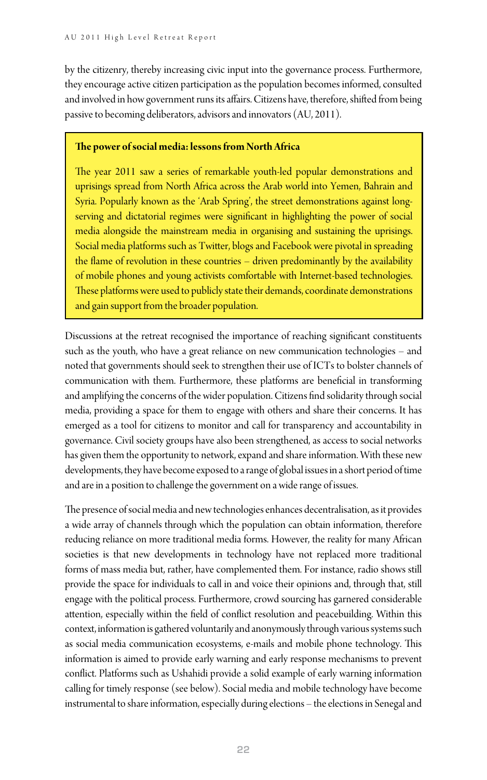by the citizenry, thereby increasing civic input into the governance process. Furthermore, they encourage active citizen participation as the population becomes informed, consulted and involved in how government runs its affairs. Citizens have, therefore, shifted from being passive to becoming deliberators, advisors and innovators (AU, 2011).

#### **The power of social media: lessons from North Africa**

The year 2011 saw a series of remarkable youth-led popular demonstrations and uprisings spread from North Africa across the Arab world into Yemen, Bahrain and Syria. Popularly known as the 'Arab Spring', the street demonstrations against longserving and dictatorial regimes were significant in highlighting the power of social media alongside the mainstream media in organising and sustaining the uprisings. Social media platforms such as Twitter, blogs and Facebook were pivotal in spreading the flame of revolution in these countries – driven predominantly by the availability of mobile phones and young activists comfortable with Internet-based technologies. These platforms were used to publicly state their demands, coordinate demonstrations and gain support from the broader population.

Discussions at the retreat recognised the importance of reaching significant constituents such as the youth, who have a great reliance on new communication technologies – and noted that governments should seek to strengthen their use of ICTs to bolster channels of communication with them. Furthermore, these platforms are beneficial in transforming and amplifying the concerns of the wider population. Citizens find solidarity through social media, providing a space for them to engage with others and share their concerns. It has emerged as a tool for citizens to monitor and call for transparency and accountability in governance. Civil society groups have also been strengthened, as access to social networks has given them the opportunity to network, expand and share information. With these new developments, they have become exposed to a range of global issues in a short period of time and are in a position to challenge the government on a wide range of issues.

The presence of social media and new technologies enhances decentralisation, as it provides a wide array of channels through which the population can obtain information, therefore reducing reliance on more traditional media forms. However, the reality for many African societies is that new developments in technology have not replaced more traditional forms of mass media but, rather, have complemented them. For instance, radio shows still provide the space for individuals to call in and voice their opinions and, through that, still engage with the political process. Furthermore, crowd sourcing has garnered considerable attention, especially within the field of conflict resolution and peacebuilding. Within this context, information is gathered voluntarily and anonymously through various systems such as social media communication ecosystems, e-mails and mobile phone technology. This information is aimed to provide early warning and early response mechanisms to prevent conflict. Platforms such as Ushahidi provide a solid example of early warning information calling for timely response (see below). Social media and mobile technology have become instrumental to share information, especially during elections – the elections in Senegal and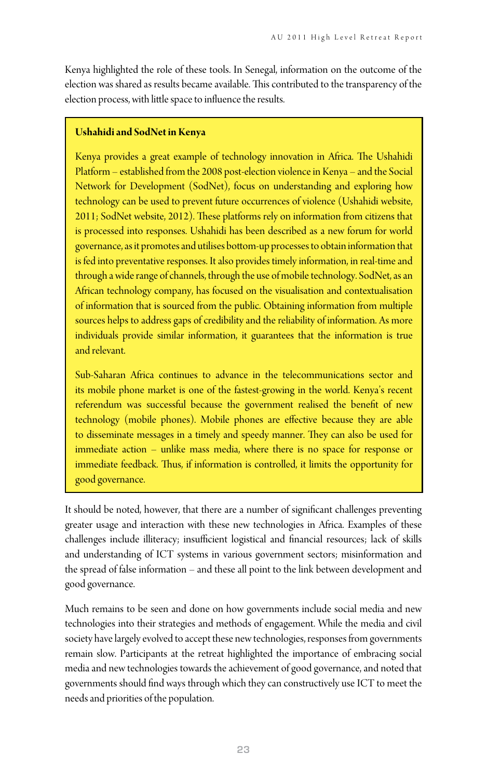Kenya highlighted the role of these tools. In Senegal, information on the outcome of the election was shared as results became available. This contributed to the transparency of the election process, with little space to influence the results.

#### **Ushahidi and SodNet in Kenya**

Kenya provides a great example of technology innovation in Africa. The Ushahidi Platform – established from the 2008 post-election violence in Kenya – and the Social Network for Development (SodNet), focus on understanding and exploring how technology can be used to prevent future occurrences of violence (Ushahidi website, 2011; SodNet website, 2012). These platforms rely on information from citizens that is processed into responses. Ushahidi has been described as a new forum for world governance, as it promotes and utilises bottom-up processes to obtain information that is fed into preventative responses. It also provides timely information, in real-time and through a wide range of channels, through the use of mobile technology. SodNet, as an African technology company, has focused on the visualisation and contextualisation of information that is sourced from the public. Obtaining information from multiple sources helps to address gaps of credibility and the reliability of information. As more individuals provide similar information, it guarantees that the information is true and relevant.

Sub-Saharan Africa continues to advance in the telecommunications sector and its mobile phone market is one of the fastest-growing in the world. Kenya's recent referendum was successful because the government realised the benefit of new technology (mobile phones). Mobile phones are effective because they are able to disseminate messages in a timely and speedy manner. They can also be used for immediate action – unlike mass media, where there is no space for response or immediate feedback. Thus, if information is controlled, it limits the opportunity for good governance.

It should be noted, however, that there are a number of significant challenges preventing greater usage and interaction with these new technologies in Africa. Examples of these challenges include illiteracy; insufficient logistical and financial resources; lack of skills and understanding of ICT systems in various government sectors; misinformation and the spread of false information – and these all point to the link between development and good governance.

Much remains to be seen and done on how governments include social media and new technologies into their strategies and methods of engagement. While the media and civil society have largely evolved to accept these new technologies, responses from governments remain slow. Participants at the retreat highlighted the importance of embracing social media and new technologies towards the achievement of good governance, and noted that governments should find ways through which they can constructively use ICT to meet the needs and priorities of the population.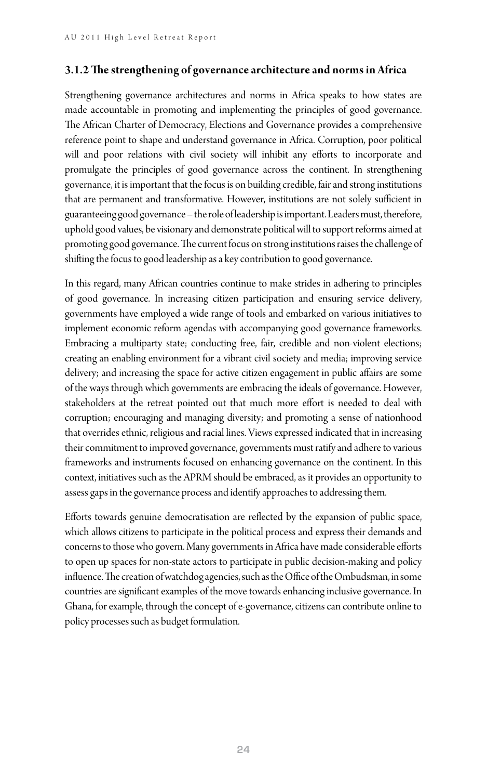#### **3.1.2 The strengthening of governance architecture and norms in Africa**

Strengthening governance architectures and norms in Africa speaks to how states are made accountable in promoting and implementing the principles of good governance. The African Charter of Democracy, Elections and Governance provides a comprehensive reference point to shape and understand governance in Africa. Corruption, poor political will and poor relations with civil society will inhibit any efforts to incorporate and promulgate the principles of good governance across the continent. In strengthening governance, it is important that the focus is on building credible, fair and strong institutions that are permanent and transformative. However, institutions are not solely sufficient in guaranteeing good governance – the role of leadership is important. Leaders must, therefore, uphold good values, be visionary and demonstrate political will to support reforms aimed at promoting good governance. The current focus on strong institutions raises the challenge of shifting the focus to good leadership as a key contribution to good governance.

In this regard, many African countries continue to make strides in adhering to principles of good governance. In increasing citizen participation and ensuring service delivery, governments have employed a wide range of tools and embarked on various initiatives to implement economic reform agendas with accompanying good governance frameworks. Embracing a multiparty state; conducting free, fair, credible and non-violent elections; creating an enabling environment for a vibrant civil society and media; improving service delivery; and increasing the space for active citizen engagement in public affairs are some of the ways through which governments are embracing the ideals of governance. However, stakeholders at the retreat pointed out that much more effort is needed to deal with corruption; encouraging and managing diversity; and promoting a sense of nationhood that overrides ethnic, religious and racial lines. Views expressed indicated that in increasing their commitment to improved governance, governments must ratify and adhere to various frameworks and instruments focused on enhancing governance on the continent. In this context, initiatives such as the APRM should be embraced, as it provides an opportunity to assess gaps in the governance process and identify approaches to addressing them.

Efforts towards genuine democratisation are reflected by the expansion of public space, which allows citizens to participate in the political process and express their demands and concerns to those who govern. Many governments in Africa have made considerable efforts to open up spaces for non-state actors to participate in public decision-making and policy influence. The creation of watchdog agencies, such as the Office of the Ombudsman, in some countries are significant examples of the move towards enhancing inclusive governance. In Ghana, for example, through the concept of e-governance, citizens can contribute online to policy processes such as budget formulation.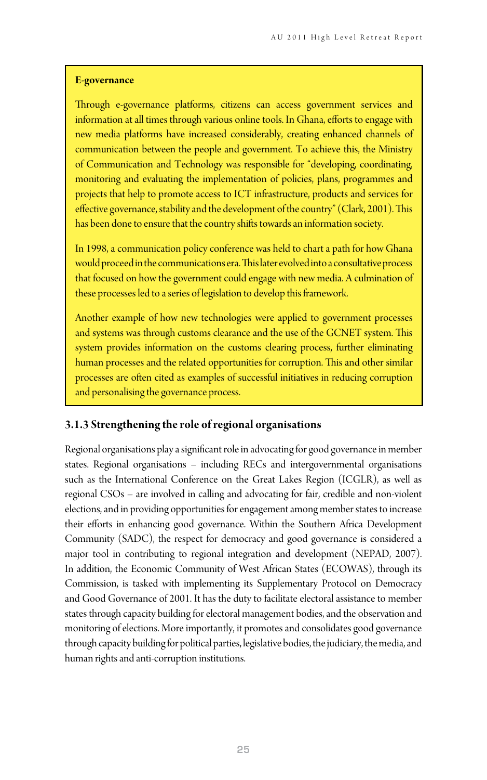#### **E-governance**

Through e-governance platforms, citizens can access government services and information at all times through various online tools. In Ghana, efforts to engage with new media platforms have increased considerably, creating enhanced channels of communication between the people and government. To achieve this, the Ministry of Communication and Technology was responsible for "developing, coordinating, monitoring and evaluating the implementation of policies, plans, programmes and projects that help to promote access to ICT infrastructure, products and services for effective governance, stability and the development of the country" (Clark, 2001). This has been done to ensure that the country shifts towards an information society.

In 1998, a communication policy conference was held to chart a path for how Ghana would proceed in the communications era. This later evolved into a consultative process that focused on how the government could engage with new media. A culmination of these processes led to a series of legislation to develop this framework.

Another example of how new technologies were applied to government processes and systems was through customs clearance and the use of the GCNET system. This system provides information on the customs clearing process, further eliminating human processes and the related opportunities for corruption. This and other similar processes are often cited as examples of successful initiatives in reducing corruption and personalising the governance process.

#### **3.1.3 Strengthening the role of regional organisations**

Regional organisations play a significant role in advocating for good governance in member states. Regional organisations – including RECs and intergovernmental organisations such as the International Conference on the Great Lakes Region (ICGLR), as well as regional CSOs – are involved in calling and advocating for fair, credible and non-violent elections, and in providing opportunities for engagement among member states to increase their efforts in enhancing good governance. Within the Southern Africa Development Community (SADC), the respect for democracy and good governance is considered a major tool in contributing to regional integration and development (NEPAD, 2007). In addition, the Economic Community of West African States (ECOWAS), through its Commission, is tasked with implementing its Supplementary Protocol on Democracy and Good Governance of 2001. It has the duty to facilitate electoral assistance to member states through capacity building for electoral management bodies, and the observation and monitoring of elections. More importantly, it promotes and consolidates good governance through capacity building for political parties, legislative bodies, the judiciary, the media, and human rights and anti-corruption institutions.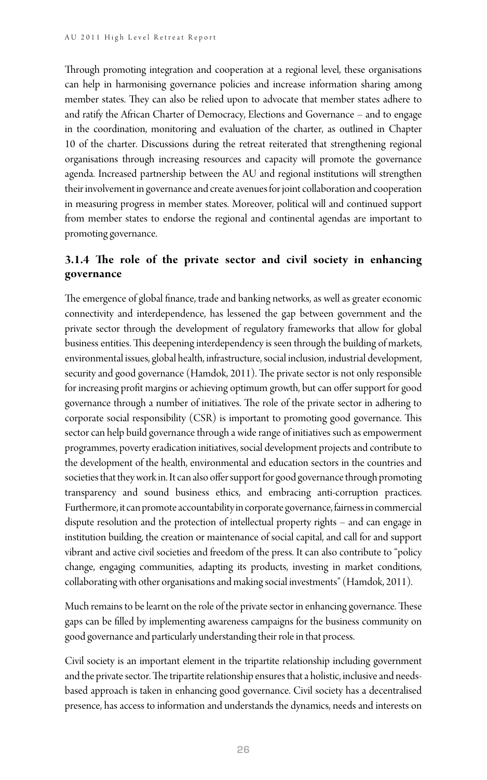Through promoting integration and cooperation at a regional level, these organisations can help in harmonising governance policies and increase information sharing among member states. They can also be relied upon to advocate that member states adhere to and ratify the African Charter of Democracy, Elections and Governance – and to engage in the coordination, monitoring and evaluation of the charter, as outlined in Chapter 10 of the charter. Discussions during the retreat reiterated that strengthening regional organisations through increasing resources and capacity will promote the governance agenda. Increased partnership between the AU and regional institutions will strengthen their involvement in governance and create avenues for joint collaboration and cooperation in measuring progress in member states. Moreover, political will and continued support from member states to endorse the regional and continental agendas are important to promoting governance.

#### **3.1.4 The role of the private sector and civil society in enhancing governance**

The emergence of global finance, trade and banking networks, as well as greater economic connectivity and interdependence, has lessened the gap between government and the private sector through the development of regulatory frameworks that allow for global business entities. This deepening interdependency is seen through the building of markets, environmental issues, global health, infrastructure, social inclusion, industrial development, security and good governance (Hamdok, 2011). The private sector is not only responsible for increasing profit margins or achieving optimum growth, but can offer support for good governance through a number of initiatives. The role of the private sector in adhering to corporate social responsibility (CSR) is important to promoting good governance. This sector can help build governance through a wide range of initiatives such as empowerment programmes, poverty eradication initiatives, social development projects and contribute to the development of the health, environmental and education sectors in the countries and societies that they work in. It can also offer support for good governance through promoting transparency and sound business ethics, and embracing anti-corruption practices. Furthermore, it can promote accountability in corporate governance, fairness in commercial dispute resolution and the protection of intellectual property rights – and can engage in institution building, the creation or maintenance of social capital, and call for and support vibrant and active civil societies and freedom of the press. It can also contribute to "policy change, engaging communities, adapting its products, investing in market conditions, collaborating with other organisations and making social investments" (Hamdok, 2011).

Much remains to be learnt on the role of the private sector in enhancing governance. These gaps can be filled by implementing awareness campaigns for the business community on good governance and particularly understanding their role in that process.

Civil society is an important element in the tripartite relationship including government and the private sector. The tripartite relationship ensures that a holistic, inclusive and needsbased approach is taken in enhancing good governance. Civil society has a decentralised presence, has access to information and understands the dynamics, needs and interests on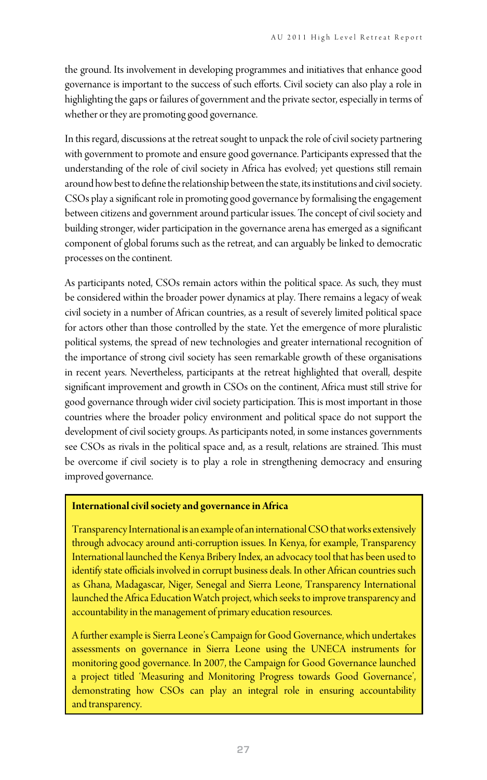the ground. Its involvement in developing programmes and initiatives that enhance good governance is important to the success of such efforts. Civil society can also play a role in highlighting the gaps or failures of government and the private sector, especially in terms of whether or they are promoting good governance.

In this regard, discussions at the retreat sought to unpack the role of civil society partnering with government to promote and ensure good governance. Participants expressed that the understanding of the role of civil society in Africa has evolved; yet questions still remain around how best to define the relationship between the state, its institutions and civil society. CSOs play a significant role in promoting good governance by formalising the engagement between citizens and government around particular issues. The concept of civil society and building stronger, wider participation in the governance arena has emerged as a significant component of global forums such as the retreat, and can arguably be linked to democratic processes on the continent.

As participants noted, CSOs remain actors within the political space. As such, they must be considered within the broader power dynamics at play. There remains a legacy of weak civil society in a number of African countries, as a result of severely limited political space for actors other than those controlled by the state. Yet the emergence of more pluralistic political systems, the spread of new technologies and greater international recognition of the importance of strong civil society has seen remarkable growth of these organisations in recent years. Nevertheless, participants at the retreat highlighted that overall, despite significant improvement and growth in CSOs on the continent, Africa must still strive for good governance through wider civil society participation. This is most important in those countries where the broader policy environment and political space do not support the development of civil society groups. As participants noted, in some instances governments see CSOs as rivals in the political space and, as a result, relations are strained. This must be overcome if civil society is to play a role in strengthening democracy and ensuring improved governance.

#### **International civil society and governance in Africa**

Transparency International is an example of an international CSO that works extensively through advocacy around anti-corruption issues. In Kenya, for example, Transparency International launched the Kenya Bribery Index, an advocacy tool that has been used to identify state officials involved in corrupt business deals. In other African countries such as Ghana, Madagascar, Niger, Senegal and Sierra Leone, Transparency International launched the Africa Education Watch project, which seeks to improve transparency and accountability in the management of primary education resources.

A further example is Sierra Leone's Campaign for Good Governance, which undertakes assessments on governance in Sierra Leone using the UNECA instruments for monitoring good governance. In 2007, the Campaign for Good Governance launched a project titled 'Measuring and Monitoring Progress towards Good Governance', demonstrating how CSOs can play an integral role in ensuring accountability and transparency.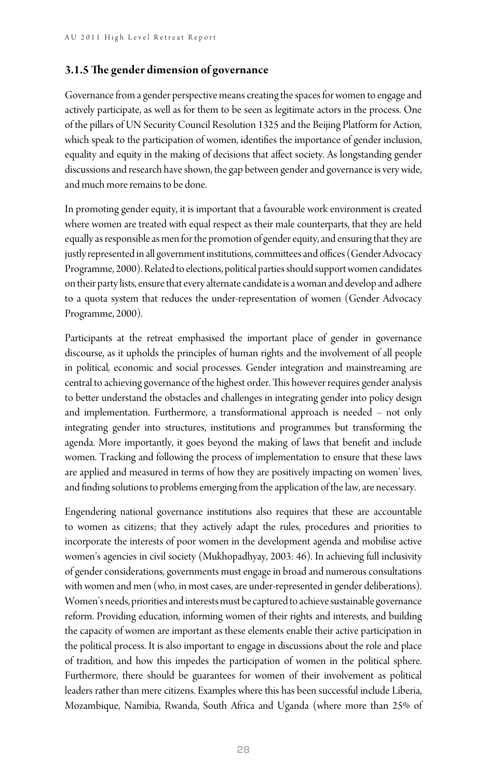#### **3.1.5 The gender dimension of governance**

Governance from a gender perspective means creating the spaces for women to engage and actively participate, as well as for them to be seen as legitimate actors in the process. One of the pillars of UN Security Council Resolution 1325 and the Beijing Platform for Action, which speak to the participation of women, identifies the importance of gender inclusion, equality and equity in the making of decisions that affect society. As longstanding gender discussions and research have shown, the gap between gender and governance is very wide, and much more remains to be done.

In promoting gender equity, it is important that a favourable work environment is created where women are treated with equal respect as their male counterparts, that they are held equally as responsible as men for the promotion of gender equity, and ensuring that they are justly represented in all government institutions, committees and offices (Gender Advocacy Programme, 2000). Related to elections, political parties should support women candidates on their party lists, ensure that every alternate candidate is a woman and develop and adhere to a quota system that reduces the under-representation of women (Gender Advocacy Programme, 2000).

Participants at the retreat emphasised the important place of gender in governance discourse, as it upholds the principles of human rights and the involvement of all people in political, economic and social processes. Gender integration and mainstreaming are central to achieving governance of the highest order. This however requires gender analysis to better understand the obstacles and challenges in integrating gender into policy design and implementation. Furthermore, a transformational approach is needed – not only integrating gender into structures, institutions and programmes but transforming the agenda. More importantly, it goes beyond the making of laws that benefit and include women. Tracking and following the process of implementation to ensure that these laws are applied and measured in terms of how they are positively impacting on women' lives, and finding solutions to problems emerging from the application of the law, are necessary.

Engendering national governance institutions also requires that these are accountable to women as citizens; that they actively adapt the rules, procedures and priorities to incorporate the interests of poor women in the development agenda and mobilise active women's agencies in civil society (Mukhopadhyay, 2003: 46). In achieving full inclusivity of gender considerations, governments must engage in broad and numerous consultations with women and men (who, in most cases, are under-represented in gender deliberations). Women's needs, priorities and interests must be captured to achieve sustainable governance reform. Providing education, informing women of their rights and interests, and building the capacity of women are important as these elements enable their active participation in the political process. It is also important to engage in discussions about the role and place of tradition, and how this impedes the participation of women in the political sphere. Furthermore, there should be guarantees for women of their involvement as political leaders rather than mere citizens. Examples where this has been successful include Liberia, Mozambique, Namibia, Rwanda, South Africa and Uganda (where more than 25% of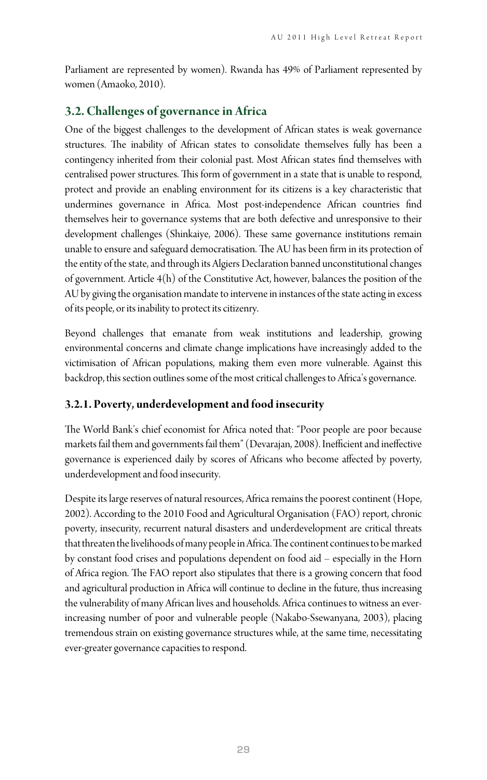Parliament are represented by women). Rwanda has 49% of Parliament represented by women (Amaoko, 2010).

#### **3.2. Challenges of governance in Africa**

One of the biggest challenges to the development of African states is weak governance structures. The inability of African states to consolidate themselves fully has been a contingency inherited from their colonial past. Most African states find themselves with centralised power structures. This form of government in a state that is unable to respond, protect and provide an enabling environment for its citizens is a key characteristic that undermines governance in Africa. Most post-independence African countries find themselves heir to governance systems that are both defective and unresponsive to their development challenges (Shinkaiye, 2006). These same governance institutions remain unable to ensure and safeguard democratisation. The AU has been firm in its protection of the entity of the state, and through its Algiers Declaration banned unconstitutional changes of government. Article 4(h) of the Constitutive Act, however, balances the position of the AU by giving the organisation mandate to intervene in instances of the state acting in excess of its people, or its inability to protect its citizenry.

Beyond challenges that emanate from weak institutions and leadership, growing environmental concerns and climate change implications have increasingly added to the victimisation of African populations, making them even more vulnerable. Against this backdrop, this section outlines some of the most critical challenges to Africa's governance.

#### **3.2.1. Poverty, underdevelopment and food insecurity**

The World Bank's chief economist for Africa noted that: "Poor people are poor because markets fail them and governments fail them" (Devarajan, 2008). Inefficient and ineffective governance is experienced daily by scores of Africans who become affected by poverty, underdevelopment and food insecurity.

Despite its large reserves of natural resources, Africa remains the poorest continent (Hope, 2002). According to the 2010 Food and Agricultural Organisation (FAO) report, chronic poverty, insecurity, recurrent natural disasters and underdevelopment are critical threats that threaten the livelihoods of many people in Africa. The continent continues to be marked by constant food crises and populations dependent on food aid – especially in the Horn of Africa region. The FAO report also stipulates that there is a growing concern that food and agricultural production in Africa will continue to decline in the future, thus increasing the vulnerability of many African lives and households. Africa continues to witness an everincreasing number of poor and vulnerable people (Nakabo-Ssewanyana, 2003), placing tremendous strain on existing governance structures while, at the same time, necessitating ever-greater governance capacities to respond.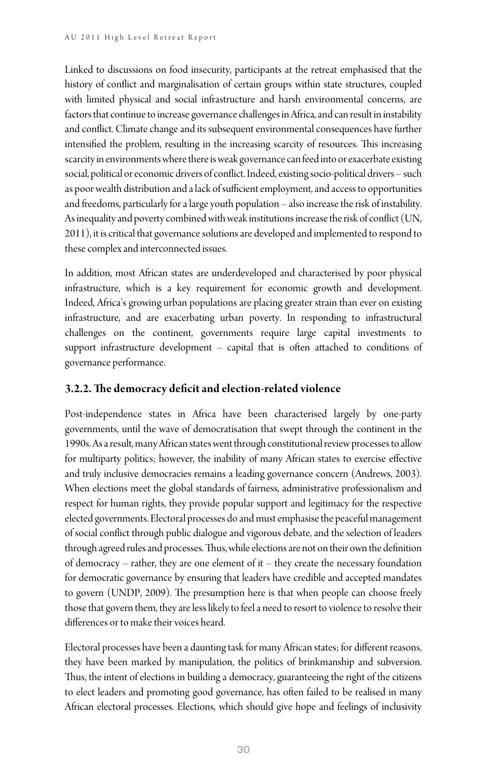Linked to discussions on food insecurity, participants at the retreat emphasised that the history of conflict and marginalisation of certain groups within state structures, coupled with limited physical and social infrastructure and harsh environmental concerns, are factors that continue to increase governance challenges in Africa, and can result in instability and conflict. Climate change and its subsequent environmental consequences have further intensified the problem, resulting in the increasing scarcity of resources. This increasing scarcity in environments where there is weak governance can feed into or exacerbate existing social, political or economic drivers of conflict. Indeed, existing socio-political drivers – such as poor wealth distribution and a lack of sufficient employment, and access to opportunities and freedoms, particularly for a large youth population – also increase the risk of instability. As inequality and poverty combined with weak institutions increase the risk of conflict (UN, 2011), it is critical that governance solutions are developed and implemented to respond to these complex and interconnected issues.

In addition, most African states are underdeveloped and characterised by poor physical infrastructure, which is a key requirement for economic growth and development. Indeed, Africa's growing urban populations are placing greater strain than ever on existing infrastructure, and are exacerbating urban poverty. In responding to infrastructural challenges on the continent, governments require large capital investments to support infrastructure development – capital that is often attached to conditions of governance performance.

#### **3.2.2. The democracy deficit and election-related violence**

Post-independence states in Africa have been characterised largely by one-party governments, until the wave of democratisation that swept through the continent in the 1990s. As a result, many African states went through constitutional review processes to allow for multiparty politics; however, the inability of many African states to exercise effective and truly inclusive democracies remains a leading governance concern (Andrews, 2003). When elections meet the global standards of fairness, administrative professionalism and respect for human rights, they provide popular support and legitimacy for the respective elected governments. Electoral processes do and must emphasise the peaceful management of social conflict through public dialogue and vigorous debate, and the selection of leaders through agreed rules and processes. Thus, while elections are not on their own the definition of democracy – rather, they are one element of it – they create the necessary foundation for democratic governance by ensuring that leaders have credible and accepted mandates to govern (UNDP, 2009). The presumption here is that when people can choose freely those that govern them, they are less likely to feel a need to resort to violence to resolve their differences or to make their voices heard.

Electoral processes have been a daunting task for many African states; for different reasons, they have been marked by manipulation, the politics of brinkmanship and subversion. Thus, the intent of elections in building a democracy, guaranteeing the right of the citizens to elect leaders and promoting good governance, has often failed to be realised in many African electoral processes. Elections, which should give hope and feelings of inclusivity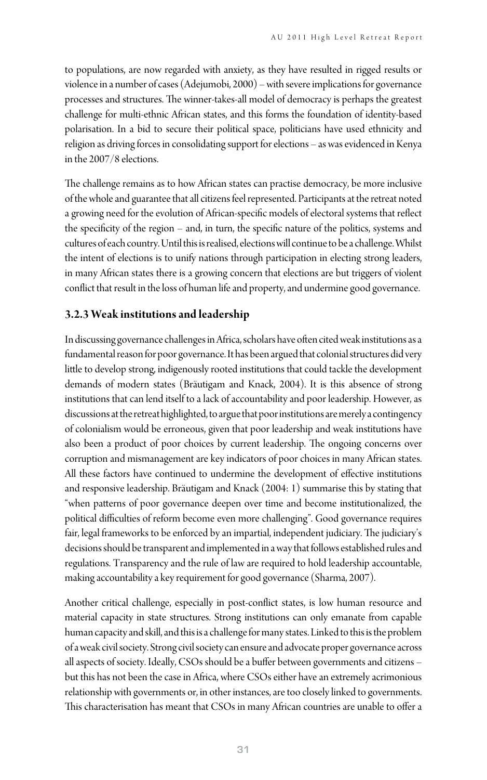to populations, are now regarded with anxiety, as they have resulted in rigged results or violence in a number of cases (Adejumobi, 2000) – with severe implications for governance processes and structures. The winner-takes-all model of democracy is perhaps the greatest challenge for multi-ethnic African states, and this forms the foundation of identity-based polarisation. In a bid to secure their political space, politicians have used ethnicity and religion as driving forces in consolidating support for elections – as was evidenced in Kenya in the 2007/8 elections.

The challenge remains as to how African states can practise democracy, be more inclusive of the whole and guarantee that all citizens feel represented. Participants at the retreat noted a growing need for the evolution of African-specific models of electoral systems that reflect the specificity of the region – and, in turn, the specific nature of the politics, systems and cultures of each country. Until this is realised, elections will continue to be a challenge. Whilst the intent of elections is to unify nations through participation in electing strong leaders, in many African states there is a growing concern that elections are but triggers of violent conflict that result in the loss of human life and property, and undermine good governance.

#### **3.2.3 Weak institutions and leadership**

In discussing governance challenges in Africa, scholars have often cited weak institutions as a fundamental reason for poor governance. It has been argued that colonial structures did very little to develop strong, indigenously rooted institutions that could tackle the development demands of modern states (Bräutigam and Knack, 2004). It is this absence of strong institutions that can lend itself to a lack of accountability and poor leadership. However, as discussions at the retreat highlighted, to argue that poor institutions are merely a contingency of colonialism would be erroneous, given that poor leadership and weak institutions have also been a product of poor choices by current leadership. The ongoing concerns over corruption and mismanagement are key indicators of poor choices in many African states. All these factors have continued to undermine the development of effective institutions and responsive leadership. Bräutigam and Knack (2004: 1) summarise this by stating that "when patterns of poor governance deepen over time and become institutionalized, the political difficulties of reform become even more challenging". Good governance requires fair, legal frameworks to be enforced by an impartial, independent judiciary. The judiciary's decisions should be transparent and implemented in a way that follows established rules and regulations. Transparency and the rule of law are required to hold leadership accountable, making accountability a key requirement for good governance (Sharma, 2007).

Another critical challenge, especially in post-conflict states, is low human resource and material capacity in state structures. Strong institutions can only emanate from capable human capacity and skill, and this is a challenge for many states. Linked to this is the problem of a weak civil society. Strong civil society can ensure and advocate proper governance across all aspects of society. Ideally, CSOs should be a buffer between governments and citizens – but this has not been the case in Africa, where CSOs either have an extremely acrimonious relationship with governments or, in other instances, are too closely linked to governments. This characterisation has meant that CSOs in many African countries are unable to offer a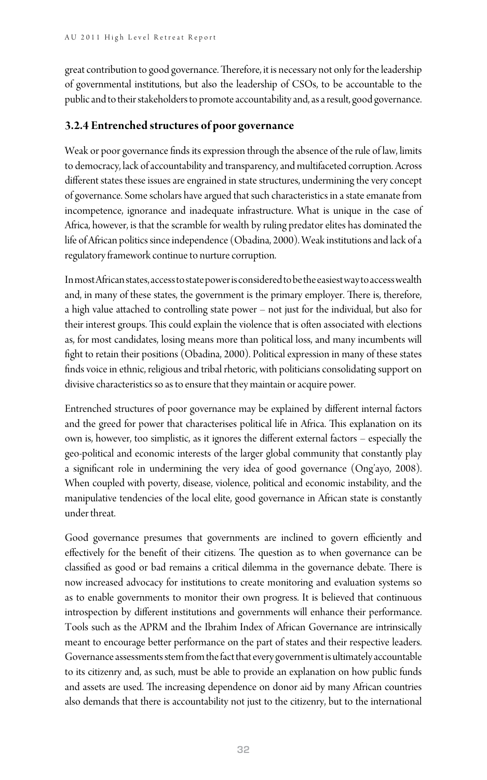great contribution to good governance. Therefore, it is necessary not only for the leadership of governmental institutions, but also the leadership of CSOs, to be accountable to the public and to their stakeholders to promote accountability and, as a result, good governance.

#### **3.2.4 Entrenched structures of poor governance**

Weak or poor governance finds its expression through the absence of the rule of law, limits to democracy, lack of accountability and transparency, and multifaceted corruption. Across different states these issues are engrained in state structures, undermining the very concept of governance. Some scholars have argued that such characteristics in a state emanate from incompetence, ignorance and inadequate infrastructure. What is unique in the case of Africa, however, is that the scramble for wealth by ruling predator elites has dominated the life of African politics since independence (Obadina, 2000). Weak institutions and lack of a regulatory framework continue to nurture corruption.

In most African states, access to state power is considered to be the easiest way to access wealth and, in many of these states, the government is the primary employer. There is, therefore, a high value attached to controlling state power – not just for the individual, but also for their interest groups. This could explain the violence that is often associated with elections as, for most candidates, losing means more than political loss, and many incumbents will fight to retain their positions (Obadina, 2000). Political expression in many of these states finds voice in ethnic, religious and tribal rhetoric, with politicians consolidating support on divisive characteristics so as to ensure that they maintain or acquire power.

Entrenched structures of poor governance may be explained by different internal factors and the greed for power that characterises political life in Africa. This explanation on its own is, however, too simplistic, as it ignores the different external factors – especially the geo-political and economic interests of the larger global community that constantly play a significant role in undermining the very idea of good governance (Ong'ayo, 2008). When coupled with poverty, disease, violence, political and economic instability, and the manipulative tendencies of the local elite, good governance in African state is constantly under threat.

Good governance presumes that governments are inclined to govern efficiently and effectively for the benefit of their citizens. The question as to when governance can be classified as good or bad remains a critical dilemma in the governance debate. There is now increased advocacy for institutions to create monitoring and evaluation systems so as to enable governments to monitor their own progress. It is believed that continuous introspection by different institutions and governments will enhance their performance. Tools such as the APRM and the Ibrahim Index of African Governance are intrinsically meant to encourage better performance on the part of states and their respective leaders. Governance assessments stem from the fact that every government is ultimately accountable to its citizenry and, as such, must be able to provide an explanation on how public funds and assets are used. The increasing dependence on donor aid by many African countries also demands that there is accountability not just to the citizenry, but to the international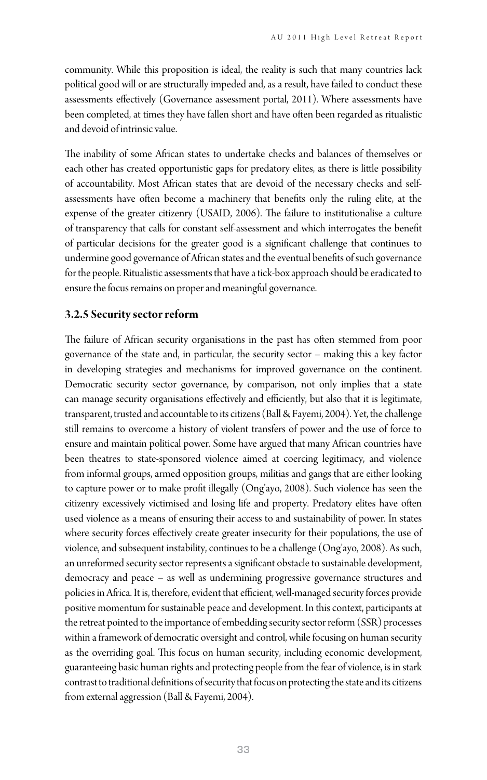community. While this proposition is ideal, the reality is such that many countries lack political good will or are structurally impeded and, as a result, have failed to conduct these assessments effectively (Governance assessment portal, 2011). Where assessments have been completed, at times they have fallen short and have often been regarded as ritualistic and devoid of intrinsic value.

The inability of some African states to undertake checks and balances of themselves or each other has created opportunistic gaps for predatory elites, as there is little possibility of accountability. Most African states that are devoid of the necessary checks and selfassessments have often become a machinery that benefits only the ruling elite, at the expense of the greater citizenry (USAID, 2006). The failure to institutionalise a culture of transparency that calls for constant self-assessment and which interrogates the benefit of particular decisions for the greater good is a significant challenge that continues to undermine good governance of African states and the eventual benefits of such governance for the people. Ritualistic assessments that have a tick-box approach should be eradicated to ensure the focus remains on proper and meaningful governance.

#### **3.2.5 Security sector reform**

The failure of African security organisations in the past has often stemmed from poor governance of the state and, in particular, the security sector – making this a key factor in developing strategies and mechanisms for improved governance on the continent. Democratic security sector governance, by comparison, not only implies that a state can manage security organisations effectively and efficiently, but also that it is legitimate, transparent, trusted and accountable to its citizens (Ball & Fayemi, 2004). Yet, the challenge still remains to overcome a history of violent transfers of power and the use of force to ensure and maintain political power. Some have argued that many African countries have been theatres to state-sponsored violence aimed at coercing legitimacy, and violence from informal groups, armed opposition groups, militias and gangs that are either looking to capture power or to make profit illegally (Ong'ayo, 2008). Such violence has seen the citizenry excessively victimised and losing life and property. Predatory elites have often used violence as a means of ensuring their access to and sustainability of power. In states where security forces effectively create greater insecurity for their populations, the use of violence, and subsequent instability, continues to be a challenge (Ong'ayo, 2008). As such, an unreformed security sector represents a significant obstacle to sustainable development, democracy and peace – as well as undermining progressive governance structures and policies in Africa. It is, therefore, evident that efficient, well-managed security forces provide positive momentum for sustainable peace and development. In this context, participants at the retreat pointed to the importance of embedding security sector reform (SSR) processes within a framework of democratic oversight and control, while focusing on human security as the overriding goal. This focus on human security, including economic development, guaranteeing basic human rights and protecting people from the fear of violence, is in stark contrast to traditional definitions of security that focus on protecting the state and its citizens from external aggression (Ball & Fayemi, 2004).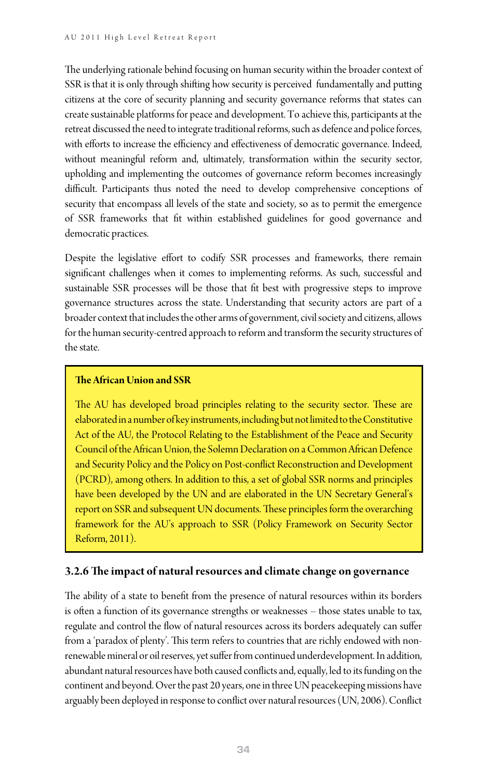The underlying rationale behind focusing on human security within the broader context of SSR is that it is only through shifting how security is perceived fundamentally and putting citizens at the core of security planning and security governance reforms that states can create sustainable platforms for peace and development. To achieve this, participants at the retreat discussed the need to integrate traditional reforms, such as defence and police forces, with efforts to increase the efficiency and effectiveness of democratic governance. Indeed, without meaningful reform and, ultimately, transformation within the security sector, upholding and implementing the outcomes of governance reform becomes increasingly difficult. Participants thus noted the need to develop comprehensive conceptions of security that encompass all levels of the state and society, so as to permit the emergence of SSR frameworks that fit within established guidelines for good governance and democratic practices.

Despite the legislative effort to codify SSR processes and frameworks, there remain significant challenges when it comes to implementing reforms. As such, successful and sustainable SSR processes will be those that fit best with progressive steps to improve governance structures across the state. Understanding that security actors are part of a broader context that includes the other arms of government, civil society and citizens, allows for the human security-centred approach to reform and transform the security structures of the state.

#### **The African Union and SSR**

The AU has developed broad principles relating to the security sector. These are elaborated in a number of key instruments, including but not limited to the Constitutive Act of the AU, the Protocol Relating to the Establishment of the Peace and Security Council of the African Union, the Solemn Declaration on a Common African Defence and Security Policy and the Policy on Post-conflict Reconstruction and Development (PCRD), among others. In addition to this, a set of global SSR norms and principles have been developed by the UN and are elaborated in the UN Secretary General's report on SSR and subsequent UN documents. These principles form the overarching framework for the AU's approach to SSR (Policy Framework on Security Sector Reform, 2011).

#### **3.2.6 The impact of natural resources and climate change on governance**

The ability of a state to benefit from the presence of natural resources within its borders is often a function of its governance strengths or weaknesses – those states unable to tax, regulate and control the flow of natural resources across its borders adequately can suffer from a 'paradox of plenty'. This term refers to countries that are richly endowed with nonrenewable mineral or oil reserves, yet suffer from continued underdevelopment. In addition, abundant natural resources have both caused conflicts and, equally, led to its funding on the continent and beyond. Over the past 20 years, one in three UN peacekeeping missions have arguably been deployed in response to conflict over natural resources (UN, 2006). Conflict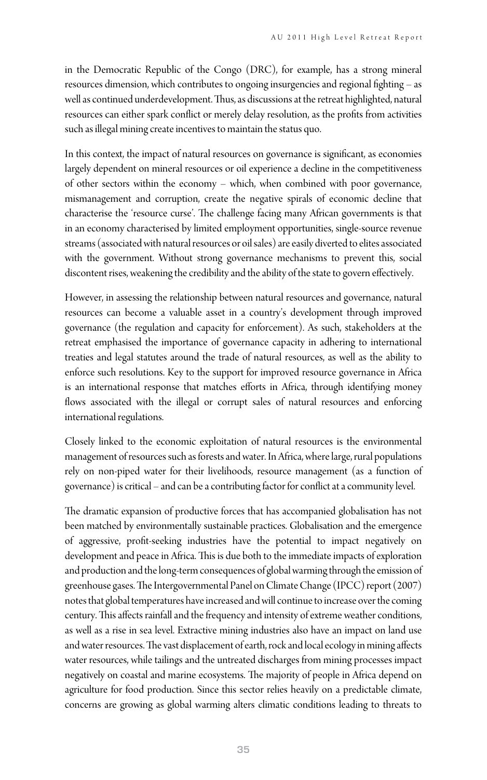in the Democratic Republic of the Congo (DRC), for example, has a strong mineral resources dimension, which contributes to ongoing insurgencies and regional fighting – as well as continued underdevelopment. Thus, as discussions at the retreat highlighted, natural resources can either spark conflict or merely delay resolution, as the profits from activities such as illegal mining create incentives to maintain the status quo.

In this context, the impact of natural resources on governance is significant, as economies largely dependent on mineral resources or oil experience a decline in the competitiveness of other sectors within the economy – which, when combined with poor governance, mismanagement and corruption, create the negative spirals of economic decline that characterise the 'resource curse'. The challenge facing many African governments is that in an economy characterised by limited employment opportunities, single-source revenue streams (associated with natural resources or oil sales) are easily diverted to elites associated with the government. Without strong governance mechanisms to prevent this, social discontent rises, weakening the credibility and the ability of the state to govern effectively.

However, in assessing the relationship between natural resources and governance, natural resources can become a valuable asset in a country's development through improved governance (the regulation and capacity for enforcement). As such, stakeholders at the retreat emphasised the importance of governance capacity in adhering to international treaties and legal statutes around the trade of natural resources, as well as the ability to enforce such resolutions. Key to the support for improved resource governance in Africa is an international response that matches efforts in Africa, through identifying money flows associated with the illegal or corrupt sales of natural resources and enforcing international regulations.

Closely linked to the economic exploitation of natural resources is the environmental management of resources such as forests and water. In Africa, where large, rural populations rely on non-piped water for their livelihoods, resource management (as a function of governance) is critical – and can be a contributing factor for conflict at a community level.

The dramatic expansion of productive forces that has accompanied globalisation has not been matched by environmentally sustainable practices. Globalisation and the emergence of aggressive, profit-seeking industries have the potential to impact negatively on development and peace in Africa. This is due both to the immediate impacts of exploration and production and the long-term consequences of global warming through the emission of greenhouse gases. The Intergovernmental Panel on Climate Change (IPCC) report (2007) notes that global temperatures have increased and will continue to increase over the coming century. This affects rainfall and the frequency and intensity of extreme weather conditions, as well as a rise in sea level. Extractive mining industries also have an impact on land use and water resources. The vast displacement of earth, rock and local ecology in mining affects water resources, while tailings and the untreated discharges from mining processes impact negatively on coastal and marine ecosystems. The majority of people in Africa depend on agriculture for food production. Since this sector relies heavily on a predictable climate, concerns are growing as global warming alters climatic conditions leading to threats to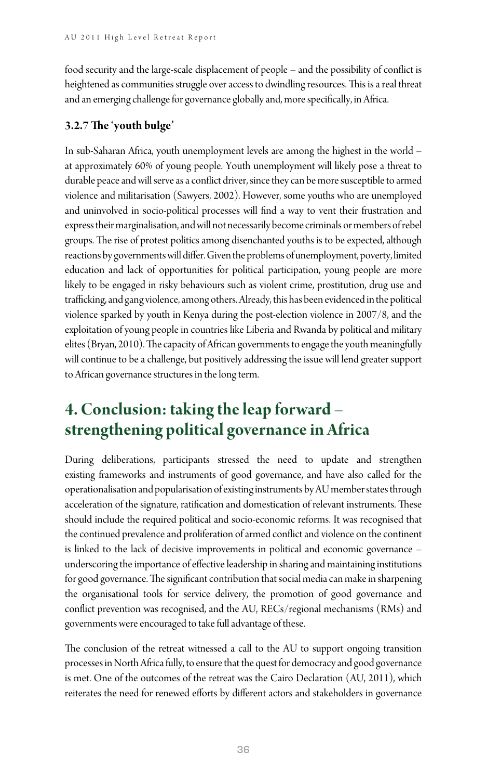food security and the large-scale displacement of people – and the possibility of conflict is heightened as communities struggle over access to dwindling resources. This is a real threat and an emerging challenge for governance globally and, more specifically, in Africa.

#### **3.2.7 The 'youth bulge'**

In sub-Saharan Africa, youth unemployment levels are among the highest in the world – at approximately 60% of young people. Youth unemployment will likely pose a threat to durable peace and will serve as a conflict driver, since they can be more susceptible to armed violence and militarisation (Sawyers, 2002). However, some youths who are unemployed and uninvolved in socio-political processes will find a way to vent their frustration and express their marginalisation, and will not necessarily become criminals or members of rebel groups. The rise of protest politics among disenchanted youths is to be expected, although reactions by governments will differ. Given the problems of unemployment, poverty, limited education and lack of opportunities for political participation, young people are more likely to be engaged in risky behaviours such as violent crime, prostitution, drug use and trafficking, and gang violence, among others. Already, this has been evidenced in the political violence sparked by youth in Kenya during the post-election violence in 2007/8, and the exploitation of young people in countries like Liberia and Rwanda by political and military elites (Bryan, 2010). The capacity of African governments to engage the youth meaningfully will continue to be a challenge, but positively addressing the issue will lend greater support to African governance structures in the long term.

# **4. Conclusion: taking the leap forward – strengthening political governance in Africa**

During deliberations, participants stressed the need to update and strengthen existing frameworks and instruments of good governance, and have also called for the operationalisation and popularisation of existing instruments by AU member states through acceleration of the signature, ratification and domestication of relevant instruments. These should include the required political and socio-economic reforms. It was recognised that the continued prevalence and proliferation of armed conflict and violence on the continent is linked to the lack of decisive improvements in political and economic governance – underscoring the importance of effective leadership in sharing and maintaining institutions for good governance. The significant contribution that social media can make in sharpening the organisational tools for service delivery, the promotion of good governance and conflict prevention was recognised, and the AU, RECs/regional mechanisms (RMs) and governments were encouraged to take full advantage of these.

The conclusion of the retreat witnessed a call to the AU to support ongoing transition processes in North Africa fully, to ensure that the quest for democracy and good governance is met. One of the outcomes of the retreat was the Cairo Declaration (AU, 2011), which reiterates the need for renewed efforts by different actors and stakeholders in governance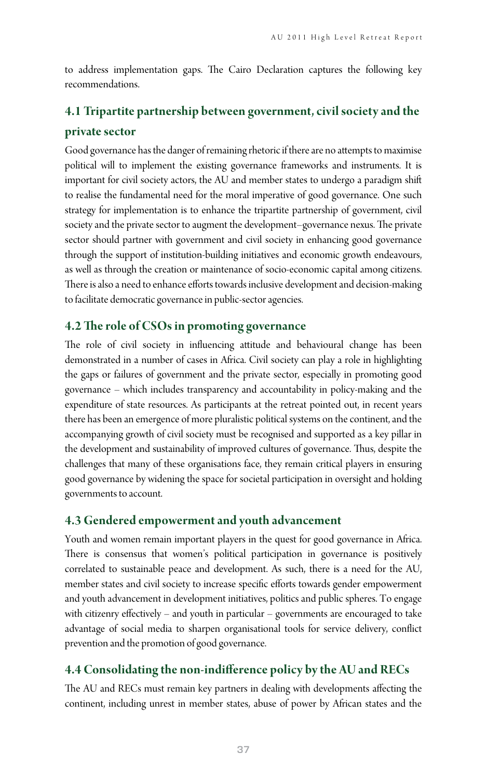to address implementation gaps. The Cairo Declaration captures the following key recommendations.

### **4.1 Tripartite partnership between government, civil society and the private sector**

Good governance has the danger of remaining rhetoric if there are no attempts to maximise political will to implement the existing governance frameworks and instruments. It is important for civil society actors, the AU and member states to undergo a paradigm shift to realise the fundamental need for the moral imperative of good governance. One such strategy for implementation is to enhance the tripartite partnership of government, civil society and the private sector to augment the development–governance nexus. The private sector should partner with government and civil society in enhancing good governance through the support of institution-building initiatives and economic growth endeavours, as well as through the creation or maintenance of socio-economic capital among citizens. There is also a need to enhance efforts towards inclusive development and decision-making to facilitate democratic governance in public-sector agencies.

#### **4.2 The role of CSOs in promoting governance**

The role of civil society in influencing attitude and behavioural change has been demonstrated in a number of cases in Africa. Civil society can play a role in highlighting the gaps or failures of government and the private sector, especially in promoting good governance – which includes transparency and accountability in policy-making and the expenditure of state resources. As participants at the retreat pointed out, in recent years there has been an emergence of more pluralistic political systems on the continent, and the accompanying growth of civil society must be recognised and supported as a key pillar in the development and sustainability of improved cultures of governance. Thus, despite the challenges that many of these organisations face, they remain critical players in ensuring good governance by widening the space for societal participation in oversight and holding governments to account.

#### **4.3 Gendered empowerment and youth advancement**

Youth and women remain important players in the quest for good governance in Africa. There is consensus that women's political participation in governance is positively correlated to sustainable peace and development. As such, there is a need for the AU, member states and civil society to increase specific efforts towards gender empowerment and youth advancement in development initiatives, politics and public spheres. To engage with citizenry effectively – and youth in particular – governments are encouraged to take advantage of social media to sharpen organisational tools for service delivery, conflict prevention and the promotion of good governance.

#### **4.4 Consolidating the non-indifference policy by the AU and RECs**

The AU and RECs must remain key partners in dealing with developments affecting the continent, including unrest in member states, abuse of power by African states and the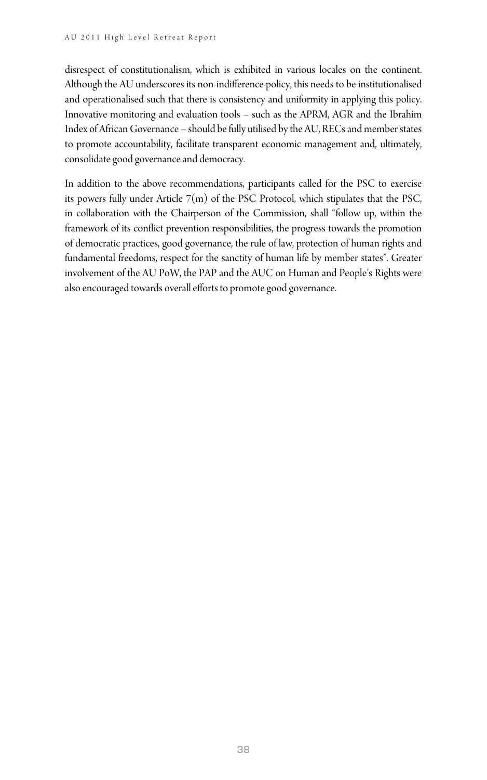disrespect of constitutionalism, which is exhibited in various locales on the continent. Although the AU underscores its non-indifference policy, this needs to be institutionalised and operationalised such that there is consistency and uniformity in applying this policy. Innovative monitoring and evaluation tools – such as the APRM, AGR and the Ibrahim Index of African Governance – should be fully utilised by the AU, RECs and member states to promote accountability, facilitate transparent economic management and, ultimately, consolidate good governance and democracy.

In addition to the above recommendations, participants called for the PSC to exercise its powers fully under Article  $7(m)$  of the PSC Protocol, which stipulates that the PSC, in collaboration with the Chairperson of the Commission, shall "follow up, within the framework of its conflict prevention responsibilities, the progress towards the promotion of democratic practices, good governance, the rule of law, protection of human rights and fundamental freedoms, respect for the sanctity of human life by member states". Greater involvement of the AU PoW, the PAP and the AUC on Human and People's Rights were also encouraged towards overall efforts to promote good governance.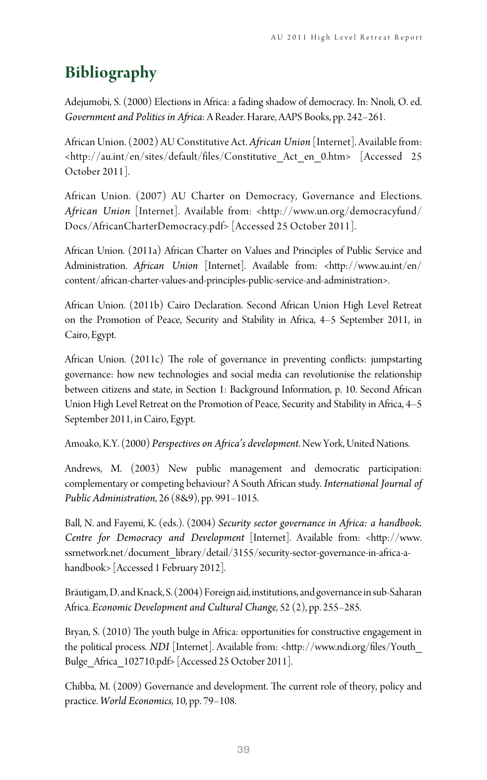# **Bibliography**

Adejumobi, S. (2000) Elections in Africa: a fading shadow of democracy. In: Nnoli, O. ed. *Government and Politics in Africa*: A Reader. Harare, AAPS Books, pp. 242–261.

African Union. (2002) AU Constitutive Act. *African Union* [Internet]. Available from: <http://au.int/en/sites/default/files/Constitutive\_Act\_en\_0.htm> [Accessed 25 October 2011].

African Union. (2007) AU Charter on Democracy, Governance and Elections. *African Union* [Internet]. Available from: <http://www.un.org/democracyfund/ Docs/AfricanCharterDemocracy.pdf> [Accessed 25 October 2011].

African Union. (2011a) African Charter on Values and Principles of Public Service and Administration. *African Union* [Internet]. Available from: <http://www.au.int/en/ content/african-charter-values-and-principles-public-service-and-administration>.

African Union. (2011b) Cairo Declaration. Second African Union High Level Retreat on the Promotion of Peace, Security and Stability in Africa, 4–5 September 2011, in Cairo, Egypt.

African Union. (2011c) The role of governance in preventing conflicts: jumpstarting governance: how new technologies and social media can revolutionise the relationship between citizens and state, in Section 1: Background Information, p. 10. Second African Union High Level Retreat on the Promotion of Peace, Security and Stability in Africa, 4–5 September 2011, in Cairo, Egypt.

Amoako, K.Y. (2000) *Perspectives on Africa's development*. New York, United Nations.

Andrews, M. (2003) New public management and democratic participation: complementary or competing behaviour? A South African study. *International Journal of Public Administration*, 26 (8&9), pp. 991–1015.

Ball, N. and Fayemi, K. (eds.). (2004) *Security sector governance in Africa: a handbook. Centre for Democracy and Development* [Internet]. Available from: <http://www. ssrnetwork.net/document\_library/detail/3155/security-sector-governance-in-africa-ahandbook> [Accessed 1 February 2012].

Bräutigam, D. and Knack, S. (2004) Foreign aid, institutions, and governance in sub‐Saharan Africa. *Economic Development and Cultural Change*, 52 (2), pp. 255–285.

Bryan, S. (2010) The youth bulge in Africa: opportunities for constructive engagement in the political process. *NDI* [Internet]. Available from: <http://www.ndi.org/files/Youth\_ Bulge\_Africa\_102710.pdf> [Accessed 25 October 2011].

Chibba, M. (2009) Governance and development. The current role of theory, policy and practice. *World Economics*, 10, pp. 79–108.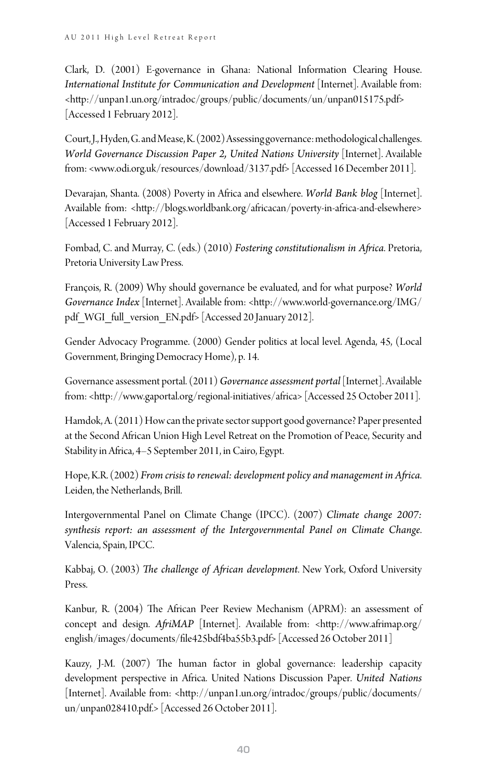Clark, D. (2001) E-governance in Ghana: National Information Clearing House. *International Institute for Communication and Development* [Internet]. Available from: <http://unpan1.un.org/intradoc/groups/public/documents/un/unpan015175.pdf> [Accessed 1 February 2012].

Court, J., Hyden, G. and Mease, K. (2002) Assessing governance: methodological challenges. *World Governance Discussion Paper 2, United Nations University* [Internet]. Available from: <www.odi.org.uk/resources/download/3137.pdf> [Accessed 16 December 2011].

Devarajan, Shanta. (2008) Poverty in Africa and elsewhere. *World Bank blog* [Internet]. Available from: <http://blogs.worldbank.org/africacan/poverty-in-africa-and-elsewhere> [Accessed 1 February 2012].

Fombad, C. and Murray, C. (eds.) (2010) *Fostering constitutionalism in Africa*. Pretoria, Pretoria University Law Press.

François, R. (2009) Why should governance be evaluated, and for what purpose? *World Governance Index* [Internet]. Available from: <http://www.world-governance.org/IMG/ pdf\_WGI\_full\_version\_EN.pdf> [Accessed 20 January 2012].

Gender Advocacy Programme. (2000) Gender politics at local level. Agenda, 45, (Local Government, Bringing Democracy Home), p. 14.

Governance assessment portal. (2011) *Governance assessment portal* [Internet]. Available from: <http://www.gaportal.org/regional-initiatives/africa> [Accessed 25 October 2011].

Hamdok, A. (2011) How can the private sector support good governance? Paper presented at the Second African Union High Level Retreat on the Promotion of Peace, Security and Stability in Africa, 4–5 September 2011, in Cairo, Egypt.

Hope, K.R. (2002) *From crisis to renewal: development policy and management in Africa*. Leiden, the Netherlands, Brill.

Intergovernmental Panel on Climate Change (IPCC). (2007) *Climate change 2007: synthesis report: an assessment of the Intergovernmental Panel on Climate Change*. Valencia, Spain, IPCC.

Kabbaj, O. (2003) *The challenge of African development*. New York, Oxford University Press.

Kanbur, R. (2004) The African Peer Review Mechanism (APRM): an assessment of concept and design. *AfriMAP* [Internet]. Available from: <http://www.afrimap.org/ english/images/documents/file425bdf4ba55b3.pdf> [Accessed 26 October 2011]

Kauzy, J-M. (2007) The human factor in global governance: leadership capacity development perspective in Africa. United Nations Discussion Paper. *United Nations* [Internet]. Available from: <http://unpan1.un.org/intradoc/groups/public/documents/ un/unpan028410.pdf.> [Accessed 26 October 2011].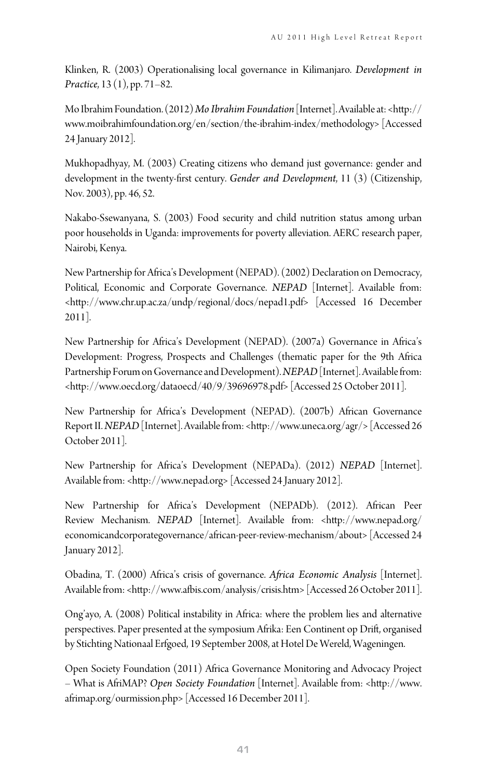Klinken, R. (2003) Operationalising local governance in Kilimanjaro. *Development in Practice*, 13 (1), pp. 71–82.

Mo Ibrahim Foundation. (2012) *Mo Ibrahim Foundation* [Internet]. Available at: <http:// www.moibrahimfoundation.org/en/section/the-ibrahim-index/methodology> [Accessed 24 January 2012].

Mukhopadhyay, M. (2003) Creating citizens who demand just governance: gender and development in the twenty-first century. *Gender and Development*, 11 (3) (Citizenship, Nov. 2003), pp. 46, 52.

Nakabo-Ssewanyana, S. (2003) Food security and child nutrition status among urban poor households in Uganda: improvements for poverty alleviation. AERC research paper, Nairobi, Kenya.

New Partnership for Africa's Development (NEPAD). (2002) Declaration on Democracy, Political, Economic and Corporate Governance. *NEPAD* [Internet]. Available from: <http://www.chr.up.ac.za/undp/regional/docs/nepad1.pdf> [Accessed 16 December 2011].

New Partnership for Africa's Development (NEPAD). (2007a) Governance in Africa's Development: Progress, Prospects and Challenges (thematic paper for the 9th Africa Partnership Forum on Governance and Development). *NEPAD* [Internet]. Available from: <http://www.oecd.org/dataoecd/40/9/39696978.pdf> [Accessed 25 October 2011].

New Partnership for Africa's Development (NEPAD). (2007b) African Governance Report II. *NEPAD* [Internet]. Available from: <http://www.uneca.org/agr/> [Accessed 26 October 2011].

New Partnership for Africa's Development (NEPADa). (2012) *NEPAD* [Internet]. Available from: <http://www.nepad.org> [Accessed 24 January 2012].

New Partnership for Africa's Development (NEPADb). (2012). African Peer Review Mechanism. *NEPAD* [Internet]. Available from: <http://www.nepad.org/ economicandcorporategovernance/african-peer-review-mechanism/about> [Accessed 24 January 2012].

Obadina, T. (2000) Africa's crisis of governance. *Africa Economic Analysis* [Internet]. Available from: <http://www.afbis.com/analysis/crisis.htm> [Accessed 26 October 2011].

Ong'ayo, A. (2008) Political instability in Africa: where the problem lies and alternative perspectives. Paper presented at the symposium Afrika: Een Continent op Drift, organised by Stichting Nationaal Erfgoed, 19 September 2008, at Hotel De Wereld, Wageningen.

Open Society Foundation (2011) Africa Governance Monitoring and Advocacy Project – What is AfriMAP? *Open Society Foundation* [Internet]. Available from: <http://www. afrimap.org/ourmission.php> [Accessed 16 December 2011].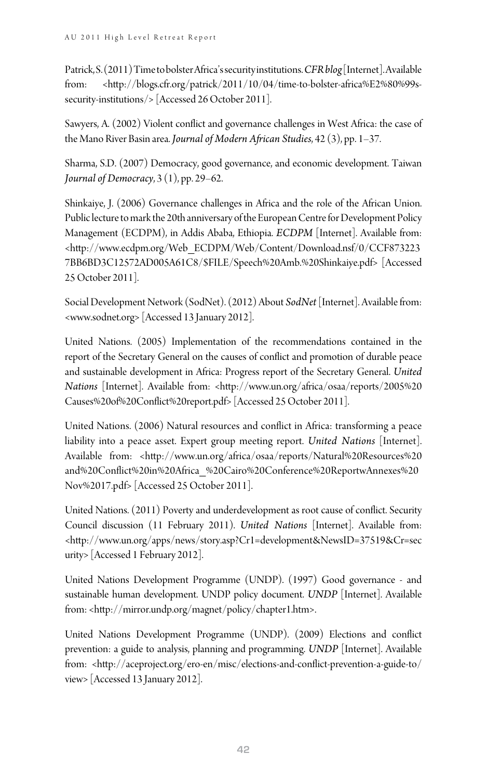Patrick, S. (2011) Time to bolster Africa's security institutions. *CFR blog* [Internet]. Available from: <http://blogs.cfr.org/patrick/2011/10/04/time-to-bolster-africa%E2%80%99ssecurity-institutions/> [Accessed 26 October 2011].

Sawyers, A. (2002) Violent conflict and governance challenges in West Africa: the case of the Mano River Basin area. *Journal of Modern African Studies*, 42 (3), pp. 1–37.

Sharma, S.D. (2007) Democracy, good governance, and economic development. Taiwan *Journal of Democracy*, 3 (1), pp. 29–62.

Shinkaiye, J. (2006) Governance challenges in Africa and the role of the African Union. Public lecture to mark the 20th anniversary of the European Centre for Development Policy Management (ECDPM), in Addis Ababa, Ethiopia. *ECDPM* [Internet]. Available from: <http://www.ecdpm.org/Web\_ECDPM/Web/Content/Download.nsf/0/CCF873223 7BB6BD3C12572AD005A61C8/\$FILE/Speech%20Amb.%20Shinkaiye.pdf> [Accessed 25 October 2011].

Social Development Network (SodNet). (2012) About *SodNet* [Internet]. Available from: <www.sodnet.org> [Accessed 13 January 2012].

United Nations. (2005) Implementation of the recommendations contained in the report of the Secretary General on the causes of conflict and promotion of durable peace and sustainable development in Africa: Progress report of the Secretary General. *United Nations* [Internet]. Available from: <http://www.un.org/africa/osaa/reports/2005%20 Causes%20of%20Conflict%20report.pdf> [Accessed 25 October 2011].

United Nations. (2006) Natural resources and conflict in Africa: transforming a peace liability into a peace asset. Expert group meeting report. *United Nations* [Internet]. Available from: <http://www.un.org/africa/osaa/reports/Natural%20Resources%20 and%20Conflict%20in%20Africa\_%20Cairo%20Conference%20ReportwAnnexes%20 Nov%2017.pdf> [Accessed 25 October 2011].

United Nations. (2011) Poverty and underdevelopment as root cause of conflict. Security Council discussion (11 February 2011). *United Nations* [Internet]. Available from: <http://www.un.org/apps/news/story.asp?Cr1=development&NewsID=37519&Cr=sec urity> [Accessed 1 February 2012].

United Nations Development Programme (UNDP). (1997) Good governance - and sustainable human development. UNDP policy document. *UNDP* [Internet]. Available from: <http://mirror.undp.org/magnet/policy/chapter1.htm>.

United Nations Development Programme (UNDP). (2009) Elections and conflict prevention: a guide to analysis, planning and programming. *UNDP* [Internet]. Available from: <http://aceproject.org/ero-en/misc/elections-and-conflict-prevention-a-guide-to/ view> [Accessed 13 January 2012].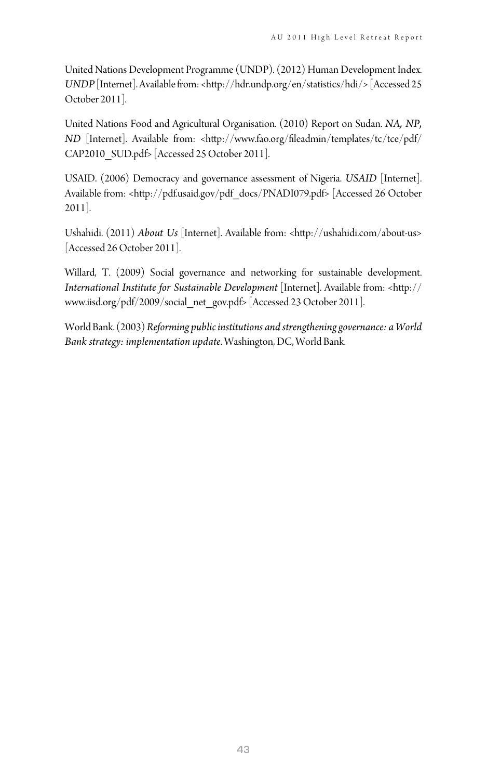United Nations Development Programme (UNDP). (2012) Human Development Index. *UNDP* [Internet]. Available from: <http://hdr.undp.org/en/statistics/hdi/> [Accessed 25 October 2011].

United Nations Food and Agricultural Organisation. (2010) Report on Sudan. *NA, NP, ND* [Internet]. Available from: <http://www.fao.org/fileadmin/templates/tc/tce/pdf/ CAP2010\_SUD.pdf> [Accessed 25 October 2011].

USAID. (2006) Democracy and governance assessment of Nigeria. *USAID* [Internet]. Available from: <http://pdf.usaid.gov/pdf\_docs/PNADI079.pdf> [Accessed 26 October 2011].

Ushahidi. (2011) *About Us* [Internet]. Available from: <http://ushahidi.com/about-us> [Accessed 26 October 2011].

Willard, T. (2009) Social governance and networking for sustainable development. *International Institute for Sustainable Development* [Internet]. Available from: <http:// www.iisd.org/pdf/2009/social\_net\_gov.pdf> [Accessed 23 October 2011].

World Bank. (2003) *Reforming public institutions and strengthening governance: a World Bank strategy: implementation update*. Washington, DC, World Bank.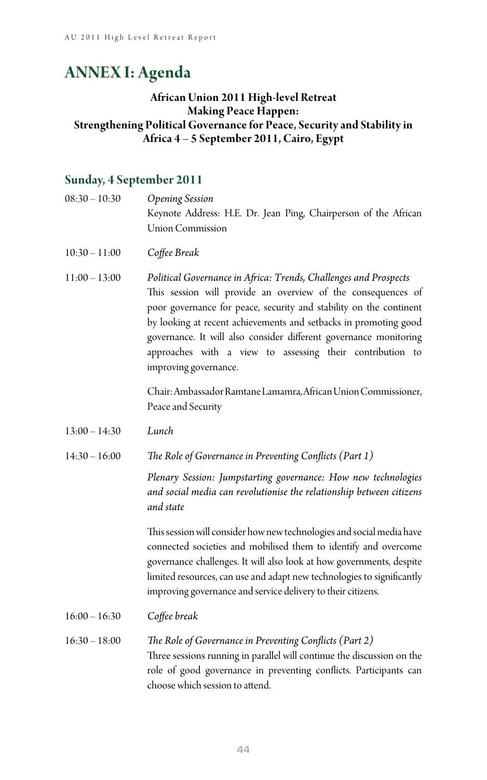# **ANNEX I: Agenda**

#### **African Union 2011 High-level Retreat Making Peace Happen: Strengthening Political Governance for Peace, Security and Stability in Africa 4 – 5 September 2011, Cairo, Egypt**

#### **Sunday, 4 September 2011**

08:30 – 10:30 *Opening Session* Keynote Address: H.E. Dr. Jean Ping, Chairperson of the African Union Commission 10:30 – 11:00 *Coffee Break* 11:00 – 13:00 *Political Governance in Africa: Trends, Challenges and Prospects* This session will provide an overview of the consequences of poor governance for peace, security and stability on the continent by looking at recent achievements and setbacks in promoting good governance. It will also consider different governance monitoring approaches with a view to assessing their contribution to

> Chair: Ambassador Ramtane Lamamra, African Union Commissioner, Peace and Security

- 13:00 14:30 *Lunch*
- 14:30 16:00 *The Role of Governance in Preventing Conflicts (Part 1)*

improving governance.

 *Plenary Session: Jumpstarting governance: How new technologies and social media can revolutionise the relationship between citizens and state*

 This session will consider how new technologies and social media have connected societies and mobilised them to identify and overcome governance challenges. It will also look at how governments, despite limited resources, can use and adapt new technologies to significantly improving governance and service delivery to their citizens.

- 16:00 16:30 *Coffee break*
- 16:30 18:00 *The Role of Governance in Preventing Conflicts (Part 2)* Three sessions running in parallel will continue the discussion on the role of good governance in preventing conflicts. Participants can choose which session to attend.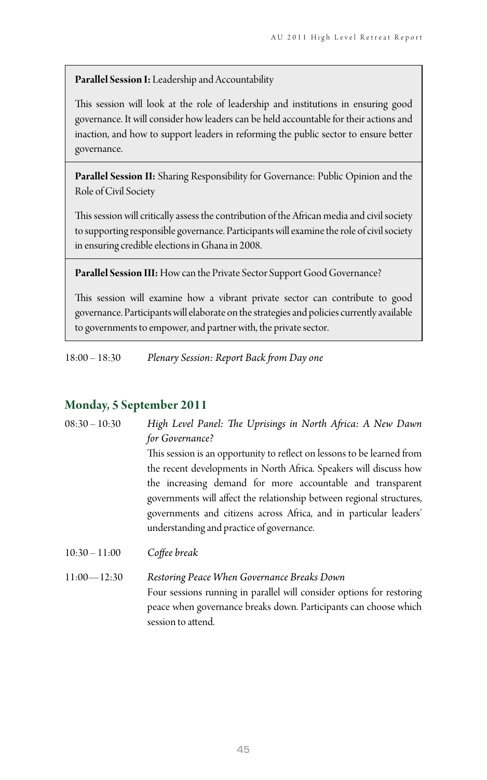#### **Parallel Session I:** Leadership and Accountability

This session will look at the role of leadership and institutions in ensuring good governance. It will consider how leaders can be held accountable for their actions and inaction, and how to support leaders in reforming the public sector to ensure better governance.

**Parallel Session II:** Sharing Responsibility for Governance: Public Opinion and the Role of Civil Society

This session will critically assess the contribution of the African media and civil society to supporting responsible governance. Participants will examine the role of civil society in ensuring credible elections in Ghana in 2008.

**Parallel Session III:** How can the Private Sector Support Good Governance?

This session will examine how a vibrant private sector can contribute to good governance. Participants will elaborate on the strategies and policies currently available to governments to empower, and partner with, the private sector.

18:00 – 18:30 *Plenary Session: Report Back from Day one*

#### **Monday, 5 September 2011**

| $08:30 - 10:30$ | High Level Panel: The Uprisings in North Africa: A New Dawn                                                                                                                                                                                                                                                                                                                                                                |
|-----------------|----------------------------------------------------------------------------------------------------------------------------------------------------------------------------------------------------------------------------------------------------------------------------------------------------------------------------------------------------------------------------------------------------------------------------|
|                 | for Governance?<br>This session is an opportunity to reflect on lessons to be learned from<br>the recent developments in North Africa. Speakers will discuss how<br>the increasing demand for more accountable and transparent<br>governments will affect the relationship between regional structures,<br>governments and citizens across Africa, and in particular leaders'<br>understanding and practice of governance. |
| $10:30 - 11:00$ | Coffee break                                                                                                                                                                                                                                                                                                                                                                                                               |
| $11:00 - 12:30$ | Restoring Peace When Governance Breaks Down                                                                                                                                                                                                                                                                                                                                                                                |

 Four sessions running in parallel will consider options for restoring peace when governance breaks down. Participants can choose which session to attend.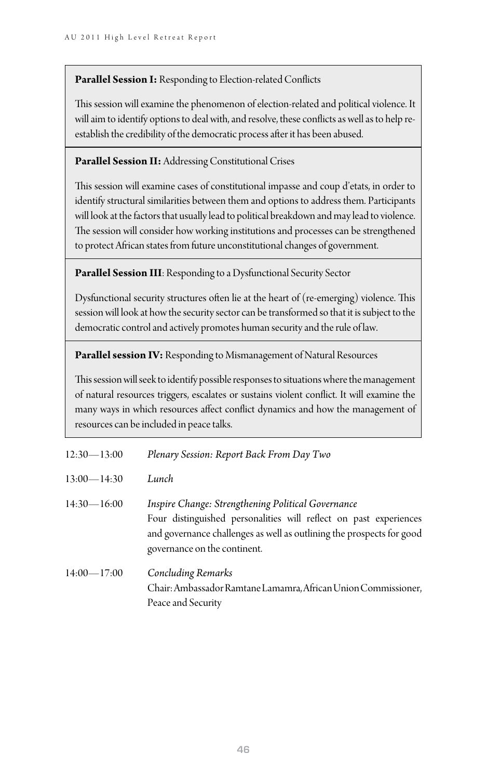#### **Parallel Session I:** Responding to Election-related Conflicts

This session will examine the phenomenon of election-related and political violence. It will aim to identify options to deal with, and resolve, these conflicts as well as to help reestablish the credibility of the democratic process after it has been abused.

#### Parallel Session II: Addressing Constitutional Crises

This session will examine cases of constitutional impasse and coup d'etats, in order to identify structural similarities between them and options to address them. Participants will look at the factors that usually lead to political breakdown and may lead to violence. The session will consider how working institutions and processes can be strengthened to protect African states from future unconstitutional changes of government.

**Parallel Session III**: Responding to a Dysfunctional Security Sector

Dysfunctional security structures often lie at the heart of (re-emerging) violence. This session will look at how the security sector can be transformed so that it is subject to the democratic control and actively promotes human security and the rule of law.

Parallel session IV: Responding to Mismanagement of Natural Resources

This session will seek to identify possible responses to situations where the management of natural resources triggers, escalates or sustains violent conflict. It will examine the many ways in which resources affect conflict dynamics and how the management of resources can be included in peace talks.

| $12:30 - 13:00$ | Plenary Session: Report Back From Day Two                                                                                                                                                                                        |
|-----------------|----------------------------------------------------------------------------------------------------------------------------------------------------------------------------------------------------------------------------------|
| $13:00 - 14:30$ | Lunch                                                                                                                                                                                                                            |
| $14:30 - 16:00$ | Inspire Change: Strengthening Political Governance<br>Four distinguished personalities will reflect on past experiences<br>and governance challenges as well as outlining the prospects for good<br>governance on the continent. |
| $14:00 - 17:00$ | Concluding Remarks<br>Chair: Ambassador Ramtane Lamamra, African Union Commissioner,<br>Peace and Security                                                                                                                       |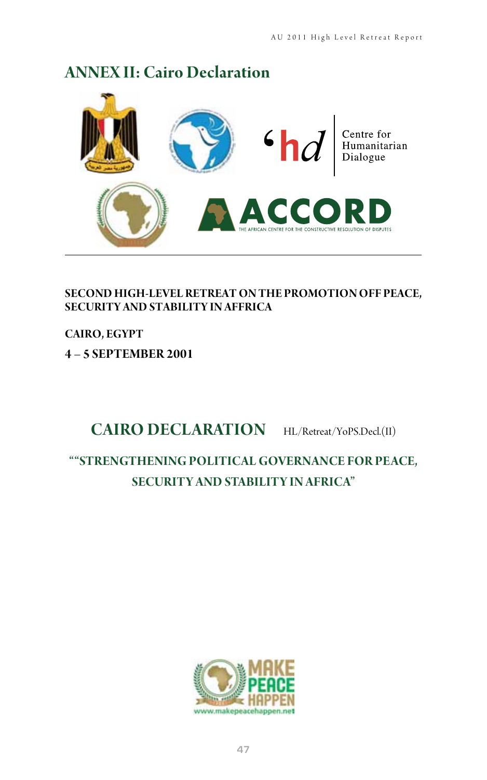# **ANNEX II: Cairo Declaration**



**SECOND HIGH‐LEVEL RETREAT ON THE PROMOTION OFF PEACE, SECURITY AND STABILITY IN AFFRICA** 

**CAIRO, EGYPT** 

**4 – 5 SEPTEMBER 2001**

# **CAIRO DECLARATION** HL/Retreat/YoPS.Decl.(II)

## **""STRENGTHENING POLITICAL GOVERNANCE FOR PEACE, SECURITY AND STABILITY IN AFRICA"**

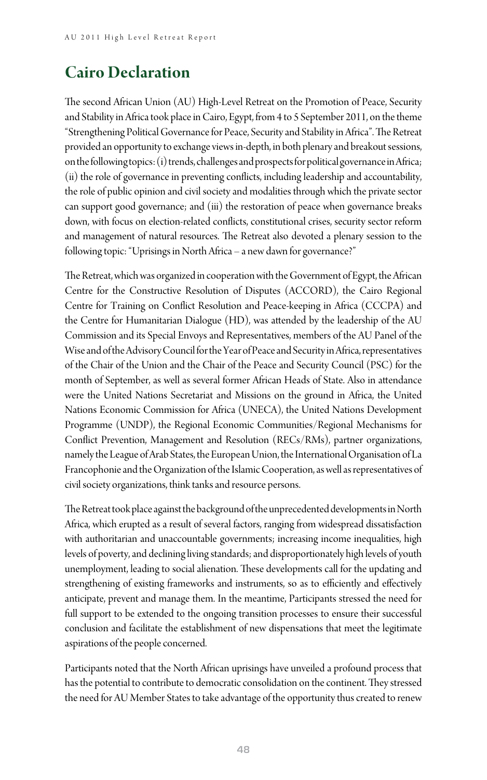# **Cairo Declaration**

The second African Union (AU) High-Level Retreat on the Promotion of Peace, Security and Stability in Africa took place in Cairo, Egypt, from 4 to 5 September 2011, on the theme "Strengthening Political Governance for Peace, Security and Stability in Africa". The Retreat provided an opportunity to exchange views in‐depth, in both plenary and breakout sessions, on the following topics: (i) trends, challenges and prospects for political governance in Africa; (ii) the role of governance in preventing conflicts, including leadership and accountability, the role of public opinion and civil society and modalities through which the private sector can support good governance; and (iii) the restoration of peace when governance breaks down, with focus on election‐related conflicts, constitutional crises, security sector reform and management of natural resources. The Retreat also devoted a plenary session to the following topic: "Uprisings in North Africa – a new dawn for governance?"

The Retreat, which was organized in cooperation with the Government of Egypt, the African Centre for the Constructive Resolution of Disputes (ACCORD), the Cairo Regional Centre for Training on Conflict Resolution and Peace‐keeping in Africa (CCCPA) and the Centre for Humanitarian Dialogue (HD), was attended by the leadership of the AU Commission and its Special Envoys and Representatives, members of the AU Panel of the Wise and of the Advisory Council for the Year of Peace and Security in Africa, representatives of the Chair of the Union and the Chair of the Peace and Security Council (PSC) for the month of September, as well as several former African Heads of State. Also in attendance were the United Nations Secretariat and Missions on the ground in Africa, the United Nations Economic Commission for Africa (UNECA), the United Nations Development Programme (UNDP), the Regional Economic Communities/Regional Mechanisms for Conflict Prevention, Management and Resolution (RECs/RMs), partner organizations, namely the League of Arab States, the European Union, the International Organisation of La Francophonie and the Organization of the Islamic Cooperation, as well as representatives of civil society organizations, think tanks and resource persons.

The Retreat took place against the background of the unprecedented developments in North Africa, which erupted as a result of several factors, ranging from widespread dissatisfaction with authoritarian and unaccountable governments; increasing income inequalities, high levels of poverty, and declining living standards; and disproportionately high levels of youth unemployment, leading to social alienation. These developments call for the updating and strengthening of existing frameworks and instruments, so as to efficiently and effectively anticipate, prevent and manage them. In the meantime, Participants stressed the need for full support to be extended to the ongoing transition processes to ensure their successful conclusion and facilitate the establishment of new dispensations that meet the legitimate aspirations of the people concerned.

Participants noted that the North African uprisings have unveiled a profound process that has the potential to contribute to democratic consolidation on the continent. They stressed the need for AU Member States to take advantage of the opportunity thus created to renew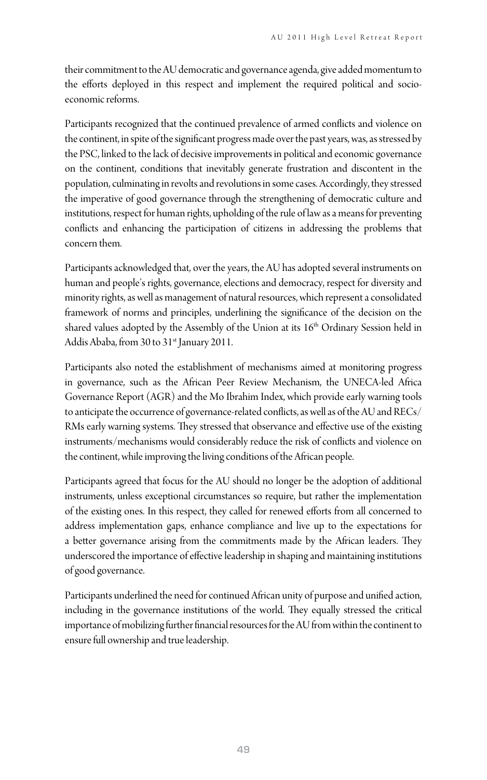their commitment to the AU democratic and governance agenda, give added momentum to the efforts deployed in this respect and implement the required political and socioeconomic reforms.

Participants recognized that the continued prevalence of armed conflicts and violence on the continent, in spite of the significant progress made over the past years, was, as stressed by the PSC, linked to the lack of decisive improvements in political and economic governance on the continent, conditions that inevitably generate frustration and discontent in the population, culminating in revolts and revolutions in some cases. Accordingly, they stressed the imperative of good governance through the strengthening of democratic culture and institutions, respect for human rights, upholding of the rule of law as a means for preventing conflicts and enhancing the participation of citizens in addressing the problems that concern them.

Participants acknowledged that, over the years, the AU has adopted several instruments on human and people's rights, governance, elections and democracy, respect for diversity and minority rights, as well as management of natural resources, which represent a consolidated framework of norms and principles, underlining the significance of the decision on the shared values adopted by the Assembly of the Union at its  $16<sup>th</sup>$  Ordinary Session held in Addis Ababa, from 30 to 31<sup>st</sup> January 2011.

Participants also noted the establishment of mechanisms aimed at monitoring progress in governance, such as the African Peer Review Mechanism, the UNECA‐led Africa Governance Report (AGR) and the Mo Ibrahim Index, which provide early warning tools to anticipate the occurrence of governance-related conflicts, as well as of the AU and RECs/ RMs early warning systems. They stressed that observance and effective use of the existing instruments/mechanisms would considerably reduce the risk of conflicts and violence on the continent, while improving the living conditions of the African people.

Participants agreed that focus for the AU should no longer be the adoption of additional instruments, unless exceptional circumstances so require, but rather the implementation of the existing ones. In this respect, they called for renewed efforts from all concerned to address implementation gaps, enhance compliance and live up to the expectations for a better governance arising from the commitments made by the African leaders. They underscored the importance of effective leadership in shaping and maintaining institutions of good governance.

Participants underlined the need for continued African unity of purpose and unified action, including in the governance institutions of the world. They equally stressed the critical importance of mobilizing further financial resources for the AU from within the continent to ensure full ownership and true leadership.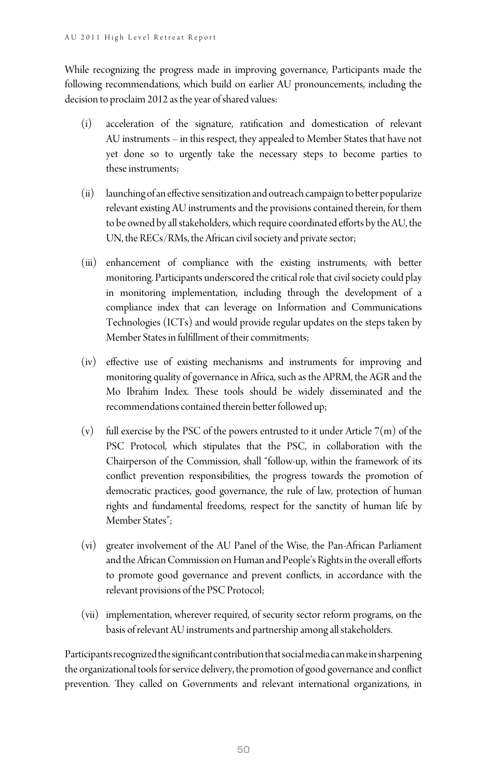While recognizing the progress made in improving governance, Participants made the following recommendations, which build on earlier AU pronouncements, including the decision to proclaim 2012 as the year of shared values:

- (i) acceleration of the signature, ratification and domestication of relevant AU instruments – in this respect, they appealed to Member States that have not yet done so to urgently take the necessary steps to become parties to these instruments;
- (ii) launching of an effective sensitization and outreach campaign to better popularize relevant existing AU instruments and the provisions contained therein, for them to be owned by all stakeholders, which require coordinated efforts by the AU, the UN, the RECs/RMs, the African civil society and private sector;
- (iii) enhancement of compliance with the existing instruments, with better monitoring. Participants underscored the critical role that civil society could play in monitoring implementation, including through the development of a compliance index that can leverage on Information and Communications Technologies (ICTs) and would provide regular updates on the steps taken by Member States in fulfillment of their commitments;
- (iv) effective use of existing mechanisms and instruments for improving and monitoring quality of governance in Africa, such as the APRM, the AGR and the Mo Ibrahim Index. These tools should be widely disseminated and the recommendations contained therein better followed up;
- $(v)$  full exercise by the PSC of the powers entrusted to it under Article  $7(m)$  of the PSC Protocol, which stipulates that the PSC, in collaboration with the Chairperson of the Commission, shall "follow‐up, within the framework of its conflict prevention responsibilities, the progress towards the promotion of democratic practices, good governance, the rule of law, protection of human rights and fundamental freedoms, respect for the sanctity of human life by Member States";
- (vi) greater involvement of the AU Panel of the Wise, the Pan‐African Parliament and the African Commission on Human and People's Rights in the overall efforts to promote good governance and prevent conflicts, in accordance with the relevant provisions of the PSC Protocol;
- (vii) implementation, wherever required, of security sector reform programs, on the basis of relevant AU instruments and partnership among all stakeholders.

Participants recognized the significant contribution that social media can make in sharpening the organizational tools for service delivery, the promotion of good governance and conflict prevention. They called on Governments and relevant international organizations, in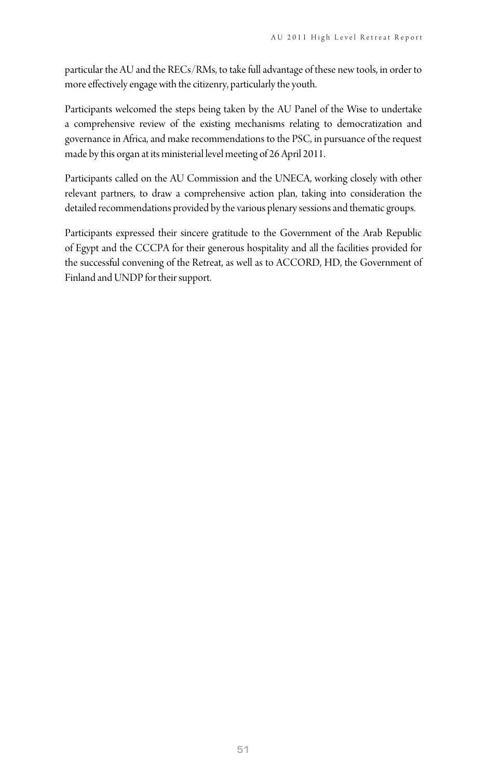particular the AU and the RECs/RMs, to take full advantage of these new tools, in order to more effectively engage with the citizenry, particularly the youth.

Participants welcomed the steps being taken by the AU Panel of the Wise to undertake a comprehensive review of the existing mechanisms relating to democratization and governance in Africa, and make recommendations to the PSC, in pursuance of the request made by this organ at its ministerial level meeting of 26 April 2011.

Participants called on the AU Commission and the UNECA, working closely with other relevant partners, to draw a comprehensive action plan, taking into consideration the detailed recommendations provided by the various plenary sessions and thematic groups.

Participants expressed their sincere gratitude to the Government of the Arab Republic of Egypt and the CCCPA for their generous hospitality and all the facilities provided for the successful convening of the Retreat, as well as to ACCORD, HD, the Government of Finland and UNDP for their support.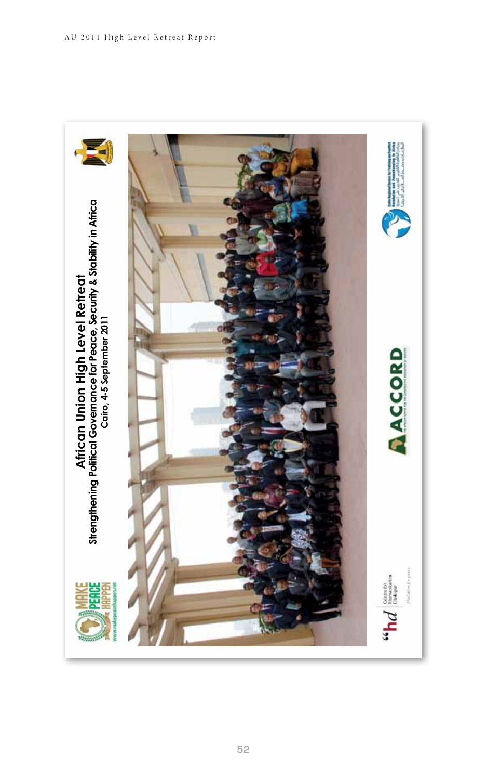